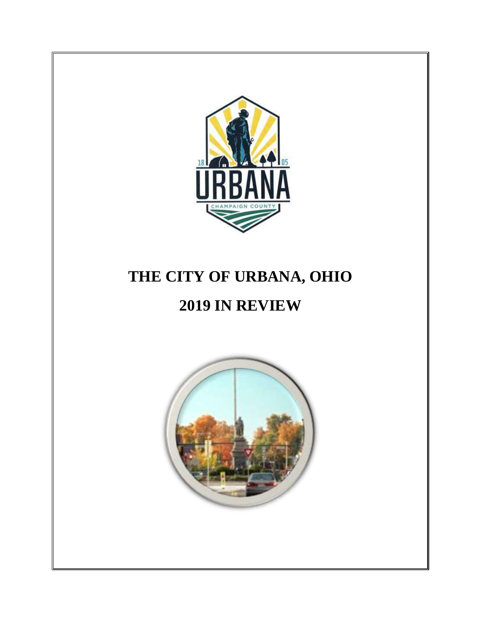

# **THE CITY OF URBANA, OHIO**

# **2019 IN REVIEW**

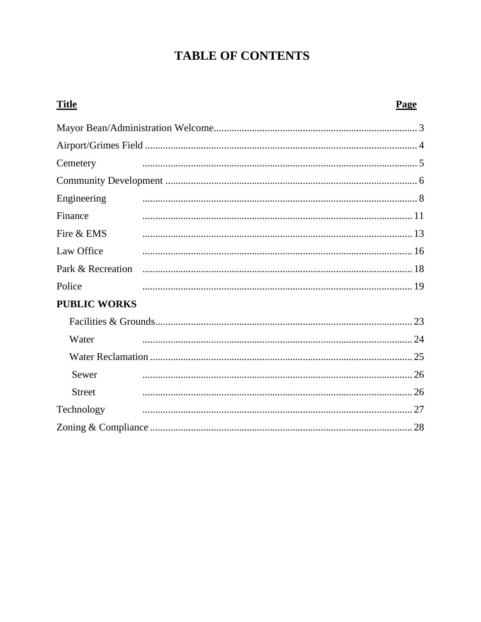# **TABLE OF CONTENTS**

| <b>Title</b>        | Page |
|---------------------|------|
|                     |      |
|                     |      |
| Cemetery            |      |
|                     |      |
| Engineering         |      |
| Finance             |      |
| Fire & EMS          |      |
| Law Office          |      |
|                     |      |
| Police              |      |
| <b>PUBLIC WORKS</b> |      |
|                     |      |
| Water               |      |
|                     |      |
| Sewer               |      |
| <b>Street</b>       |      |
| Technology          |      |
|                     | 28   |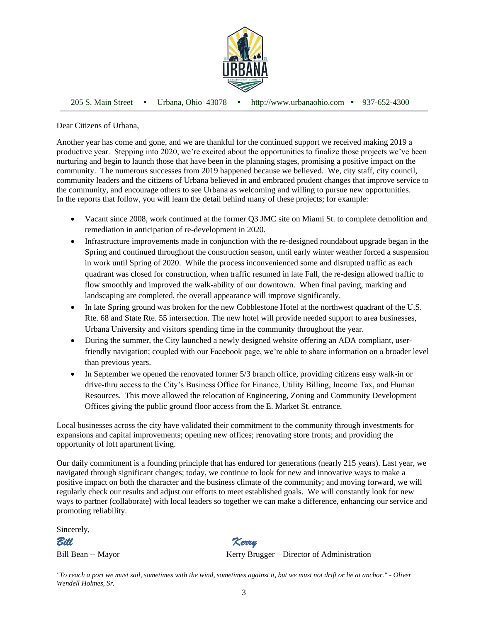

205 S. Main Street Urbana, Ohio 43078 http://www.urbanaohio.com 937-652-4300

Dear Citizens of Urbana,

Another year has come and gone, and we are thankful for the continued support we received making 2019 a productive year. Stepping into 2020, we're excited about the opportunities to finalize those projects we've been nurturing and begin to launch those that have been in the planning stages, promising a positive impact on the community. The numerous successes from 2019 happened because we believed. We, city staff, city council, community leaders and the citizens of Urbana believed in and embraced prudent changes that improve service to the community, and encourage others to see Urbana as welcoming and willing to pursue new opportunities. In the reports that follow, you will learn the detail behind many of these projects; for example:

- Vacant since 2008, work continued at the former Q3 JMC site on Miami St. to complete demolition and remediation in anticipation of re-development in 2020.
- Infrastructure improvements made in conjunction with the re-designed roundabout upgrade began in the Spring and continued throughout the construction season, until early winter weather forced a suspension in work until Spring of 2020. While the process inconvenienced some and disrupted traffic as each quadrant was closed for construction, when traffic resumed in late Fall, the re-design allowed traffic to flow smoothly and improved the walk-ability of our downtown. When final paving, marking and landscaping are completed, the overall appearance will improve significantly.
- In late Spring ground was broken for the new Cobblestone Hotel at the northwest quadrant of the U.S. Rte. 68 and State Rte. 55 intersection. The new hotel will provide needed support to area businesses, Urbana University and visitors spending time in the community throughout the year.
- During the summer, the City launched a newly designed website offering an ADA compliant, userfriendly navigation; coupled with our Facebook page, we're able to share information on a broader level than previous years.
- In September we opened the renovated former 5/3 branch office, providing citizens easy walk-in or drive-thru access to the City's Business Office for Finance, Utility Billing, Income Tax, and Human Resources. This move allowed the relocation of Engineering, Zoning and Community Development Offices giving the public ground floor access from the E. Market St. entrance.

Local businesses across the city have validated their commitment to the community through investments for expansions and capital improvements; opening new offices; renovating store fronts; and providing the opportunity of loft apartment living.

Our daily commitment is a founding principle that has endured for generations (nearly 215 years). Last year, we navigated through significant changes; today, we continue to look for new and innovative ways to make a positive impact on both the character and the business climate of the community; and moving forward, we will regularly check our results and adjust our efforts to meet established goals. We will constantly look for new ways to partner (collaborate) with local leaders so together we can make a difference, enhancing our service and promoting reliability.

Sincerely,

*Bill Kerry*

Bill Bean -- Mayor Kerry Brugger – Director of Administration

*"To reach a port we must sail, sometimes with the wind, sometimes against it, but we must not drift or lie at anchor." - Oliver Wendell Holmes, Sr.*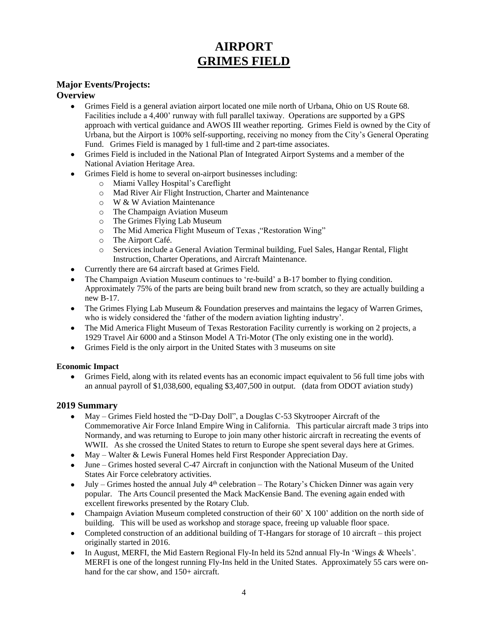# **AIRPORT GRIMES FIELD**

# **Major Events/Projects:**

# **Overview**

- Grimes Field is a general aviation airport located one mile north of Urbana, Ohio on US Route 68. Facilities include a 4,400' runway with full parallel taxiway. Operations are supported by a GPS approach with vertical guidance and AWOS III weather reporting. Grimes Field is owned by the City of Urbana, but the Airport is 100% self-supporting, receiving no money from the City's General Operating Fund. Grimes Field is managed by 1 full-time and 2 part-time associates.
- Grimes Field is included in the National Plan of Integrated Airport Systems and a member of the National Aviation Heritage Area.
- Grimes Field is home to several on-airport businesses including:
	- o Miami Valley Hospital's Careflight
	- o Mad River Air Flight Instruction, Charter and Maintenance
	- o W & W Aviation Maintenance
	- o The Champaign Aviation Museum
	- o The Grimes Flying Lab Museum
	- o The Mid America Flight Museum of Texas ,"Restoration Wing"
	- o The Airport Café.
	- o Services include a General Aviation Terminal building, Fuel Sales, Hangar Rental, Flight Instruction, Charter Operations, and Aircraft Maintenance.
- Currently there are 64 aircraft based at Grimes Field.
- The Champaign Aviation Museum continues to 're-build' a B-17 bomber to flying condition. Approximately 75% of the parts are being built brand new from scratch, so they are actually building a new B-17.
- The Grimes Flying Lab Museum & Foundation preserves and maintains the legacy of Warren Grimes, who is widely considered the 'father of the modern aviation lighting industry'.
- The Mid America Flight Museum of Texas Restoration Facility currently is working on 2 projects, a 1929 Travel Air 6000 and a Stinson Model A Tri-Motor (The only existing one in the world).
- Grimes Field is the only airport in the United States with 3 museums on site

### **Economic Impact**

• Grimes Field, along with its related events has an economic impact equivalent to 56 full time jobs with an annual payroll of \$1,038,600, equaling \$3,407,500 in output. (data from ODOT aviation study)

# **2019 Summary**

- May Grimes Field hosted the "D-Day Doll", a Douglas C-53 Skytrooper Aircraft of the Commemorative Air Force Inland Empire Wing in California. This particular aircraft made 3 trips into Normandy, and was returning to Europe to join many other historic aircraft in recreating the events of WWII. As she crossed the United States to return to Europe she spent several days here at Grimes.
- May Walter & Lewis Funeral Homes held First Responder Appreciation Day.
- June Grimes hosted several C-47 Aircraft in conjunction with the National Museum of the United States Air Force celebratory activities.
- July Grimes hosted the annual July  $4<sup>th</sup>$  celebration The Rotary's Chicken Dinner was again very popular. The Arts Council presented the Mack MacKensie Band. The evening again ended with excellent fireworks presented by the Rotary Club.
- Champaign Aviation Museum completed construction of their 60' X 100' addition on the north side of building. This will be used as workshop and storage space, freeing up valuable floor space.
- Completed construction of an additional building of T-Hangars for storage of 10 aircraft this project originally started in 2016.
- In August, MERFI, the Mid Eastern Regional Fly-In held its 52nd annual Fly-In 'Wings & Wheels'. MERFI is one of the longest running Fly-Ins held in the United States. Approximately 55 cars were onhand for the car show, and  $150+$  aircraft.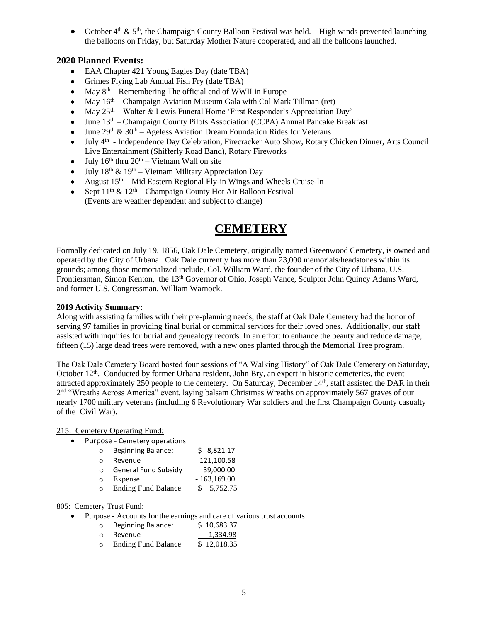• October  $4<sup>th</sup>$  &  $5<sup>th</sup>$ , the Champaign County Balloon Festival was held. High winds prevented launching the balloons on Friday, but Saturday Mother Nature cooperated, and all the balloons launched.

# **2020 Planned Events:**

- EAA Chapter 421 Young Eagles Day (date TBA)
- Grimes Flying Lab Annual Fish Fry (date TBA)
- May  $8<sup>th</sup>$  Remembering The official end of WWII in Europe
- May  $16<sup>th</sup>$  Champaign Aviation Museum Gala with Col Mark Tillman (ret)
- May  $25<sup>th</sup>$  Walter & Lewis Funeral Home 'First Responder's Appreciation Day'
- June  $13<sup>th</sup>$  Champaign County Pilots Association (CCPA) Annual Pancake Breakfast
- June  $29^{th}$  &  $30^{th}$  Ageless Aviation Dream Foundation Rides for Veterans
- July 4<sup>th</sup> Independence Day Celebration, Firecracker Auto Show, Rotary Chicken Dinner, Arts Council Live Entertainment (Shifferly Road Band), Rotary Fireworks
- July  $16^{th}$  thru  $20^{th}$  Vietnam Wall on site
- July  $18^{th} \& 19^{th} \text{Vietnam Military Approxation Day}$
- August  $15<sup>th</sup> Mid Eastern Regional Fly-in Wings and Wheels Cruise-In$
- Sept  $11<sup>th</sup>$  &  $12<sup>th</sup>$  Champaign County Hot Air Balloon Festival (Events are weather dependent and subject to change)

# **CEMETERY**

Formally dedicated on July 19, 1856, Oak Dale Cemetery, originally named Greenwood Cemetery, is owned and operated by the City of Urbana. Oak Dale currently has more than 23,000 memorials/headstones within its grounds; among those memorialized include, Col. William Ward, the founder of the City of Urbana, U.S. Frontiersman, Simon Kenton, the 13<sup>th</sup> Governor of Ohio, Joseph Vance, Sculptor John Quincy Adams Ward, and former U.S. Congressman, William Warnock.

#### **2019 Activity Summary:**

Along with assisting families with their pre-planning needs, the staff at Oak Dale Cemetery had the honor of serving 97 families in providing final burial or committal services for their loved ones. Additionally, our staff assisted with inquiries for burial and genealogy records. In an effort to enhance the beauty and reduce damage, fifteen (15) large dead trees were removed, with a new ones planted through the Memorial Tree program.

The Oak Dale Cemetery Board hosted four sessions of "A Walking History" of Oak Dale Cemetery on Saturday, October  $12<sup>th</sup>$ . Conducted by former Urbana resident, John Bry, an expert in historic cemeteries, the event attracted approximately 250 people to the cemetery. On Saturday, December 14th, staff assisted the DAR in their 2<sup>nd</sup> "Wreaths Across America" event, laying balsam Christmas Wreaths on approximately 567 graves of our nearly 1700 military veterans (including 6 Revolutionary War soldiers and the first Champaign County casualty of the Civil War).

#### 215: Cemetery Operating Fund:

• Purpose - Cemetery operations

| $\circ$   | <b>Beginning Balance:</b>  | \$8,821.17    |
|-----------|----------------------------|---------------|
| $\bigcap$ | Revenue                    | 121,100.58    |
| $\Omega$  | General Fund Subsidy       | 39,000.00     |
| $\circ$   | Expense                    | $-163,169.00$ |
| $\circ$   | <b>Ending Fund Balance</b> | \$5.752.75    |

### 805: Cemetery Trust Fund:

- Purpose Accounts for the earnings and care of various trust accounts.
	- o Beginning Balance: \$ 10,683.37
	- o Revenue 1,334.98
	- o Ending Fund Balance \$ 12,018.35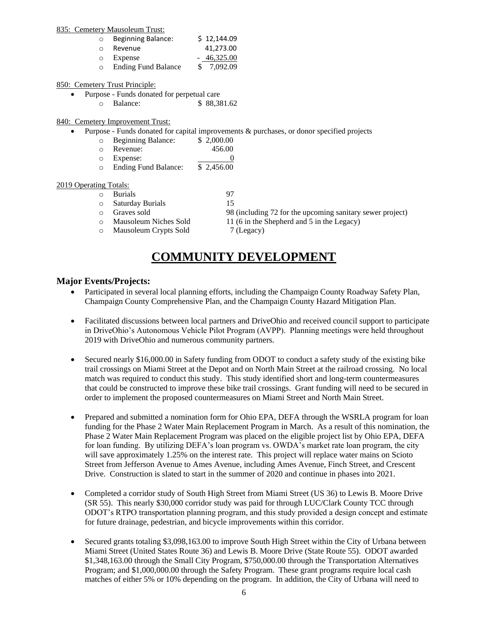#### 835: Cemetery Mausoleum Trust:

| $\circ$ | <b>Beginning Balance:</b>  | \$12,144.09  |
|---------|----------------------------|--------------|
| O       | Revenue                    | 41.273.00    |
| $\circ$ | Expense                    | $-46,325.00$ |
| O       | <b>Ending Fund Balance</b> | \$7.092.09   |

#### 850: Cemetery Trust Principle:

- Purpose Funds donated for perpetual care
	- o Balance: \$ 88,381.62

#### 840:Cemetery Improvement Trust:

• Purpose - Funds donated for capital improvements & purchases, or donor specified projects

| Beginning Balance:<br>$\circ$ | \$2,000.00 |
|-------------------------------|------------|
|-------------------------------|------------|

- o Revenue: 456.00
- o Expense: 0
- o Ending Fund Balance: \$ 2,456.00

#### 2019 Operating Totals:

- o Burials 97
- o Saturday Burials 15
- o Graves sold 98 (including 72 for the upcoming sanitary sewer project)
- $\circ$  Mausoleum Niches Sold 11 (6 in the Shepherd and 5 in the Legacy)
- 
- o Mausoleum Crypts Sold 7 (Legacy)

# **COMMUNITY DEVELOPMENT**

#### **Major Events/Projects:**

- Participated in several local planning efforts, including the Champaign County Roadway Safety Plan, Champaign County Comprehensive Plan, and the Champaign County Hazard Mitigation Plan.
- Facilitated discussions between local partners and DriveOhio and received council support to participate in DriveOhio's Autonomous Vehicle Pilot Program (AVPP). Planning meetings were held throughout 2019 with DriveOhio and numerous community partners.
- Secured nearly \$16,000.00 in Safety funding from ODOT to conduct a safety study of the existing bike trail crossings on Miami Street at the Depot and on North Main Street at the railroad crossing. No local match was required to conduct this study. This study identified short and long-term countermeasures that could be constructed to improve these bike trail crossings. Grant funding will need to be secured in order to implement the proposed countermeasures on Miami Street and North Main Street.
- Prepared and submitted a nomination form for Ohio EPA, DEFA through the WSRLA program for loan funding for the Phase 2 Water Main Replacement Program in March. As a result of this nomination, the Phase 2 Water Main Replacement Program was placed on the eligible project list by Ohio EPA, DEFA for loan funding. By utilizing DEFA's loan program vs. OWDA's market rate loan program, the city will save approximately 1.25% on the interest rate. This project will replace water mains on Scioto Street from Jefferson Avenue to Ames Avenue, including Ames Avenue, Finch Street, and Crescent Drive. Construction is slated to start in the summer of 2020 and continue in phases into 2021.
- Completed a corridor study of South High Street from Miami Street (US 36) to Lewis B. Moore Drive (SR 55). This nearly \$30,000 corridor study was paid for through LUC/Clark County TCC through ODOT's RTPO transportation planning program, and this study provided a design concept and estimate for future drainage, pedestrian, and bicycle improvements within this corridor.
- Secured grants totaling \$3,098,163.00 to improve South High Street within the City of Urbana between Miami Street (United States Route 36) and Lewis B. Moore Drive (State Route 55). ODOT awarded \$1,348,163.00 through the Small City Program, \$750,000.00 through the Transportation Alternatives Program; and \$1,000,000.00 through the Safety Program. These grant programs require local cash matches of either 5% or 10% depending on the program. In addition, the City of Urbana will need to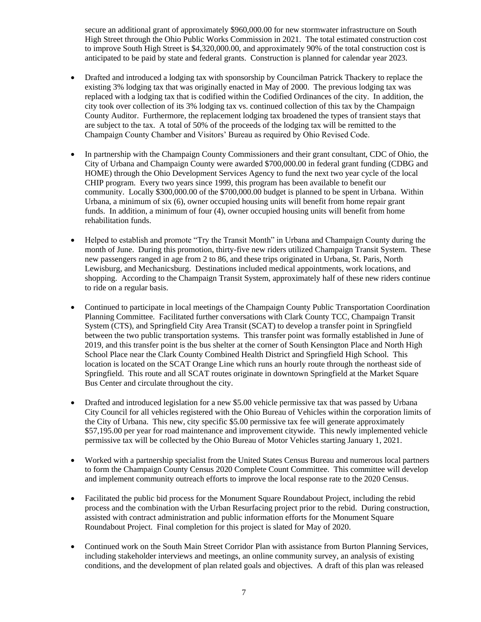secure an additional grant of approximately \$960,000.00 for new stormwater infrastructure on South High Street through the Ohio Public Works Commission in 2021. The total estimated construction cost to improve South High Street is \$4,320,000.00, and approximately 90% of the total construction cost is anticipated to be paid by state and federal grants. Construction is planned for calendar year 2023.

- Drafted and introduced a lodging tax with sponsorship by Councilman Patrick Thackery to replace the existing 3% lodging tax that was originally enacted in May of 2000. The previous lodging tax was replaced with a lodging tax that is codified within the Codified Ordinances of the city. In addition, the city took over collection of its 3% lodging tax vs. continued collection of this tax by the Champaign County Auditor. Furthermore, the replacement lodging tax broadened the types of transient stays that are subject to the tax. A total of 50% of the proceeds of the lodging tax will be remitted to the Champaign County Chamber and Visitors' Bureau as required by Ohio Revised Code.
- In partnership with the Champaign County Commissioners and their grant consultant, CDC of Ohio, the City of Urbana and Champaign County were awarded \$700,000.00 in federal grant funding (CDBG and HOME) through the Ohio Development Services Agency to fund the next two year cycle of the local CHIP program. Every two years since 1999, this program has been available to benefit our community. Locally \$300,000.00 of the \$700,000.00 budget is planned to be spent in Urbana. Within Urbana, a minimum of six (6), owner occupied housing units will benefit from home repair grant funds. In addition, a minimum of four (4), owner occupied housing units will benefit from home rehabilitation funds.
- Helped to establish and promote "Try the Transit Month" in Urbana and Champaign County during the month of June. During this promotion, thirty-five new riders utilized Champaign Transit System. These new passengers ranged in age from 2 to 86, and these trips originated in Urbana, St. Paris, North Lewisburg, and Mechanicsburg. Destinations included medical appointments, work locations, and shopping. According to the Champaign Transit System, approximately half of these new riders continue to ride on a regular basis.
- Continued to participate in local meetings of the Champaign County Public Transportation Coordination Planning Committee. Facilitated further conversations with Clark County TCC, Champaign Transit System (CTS), and Springfield City Area Transit (SCAT) to develop a transfer point in Springfield between the two public transportation systems. This transfer point was formally established in June of 2019, and this transfer point is the bus shelter at the corner of South Kensington Place and North High School Place near the Clark County Combined Health District and Springfield High School. This location is located on the SCAT Orange Line which runs an hourly route through the northeast side of Springfield. This route and all SCAT routes originate in downtown Springfield at the Market Square Bus Center and circulate throughout the city.
- Drafted and introduced legislation for a new \$5.00 vehicle permissive tax that was passed by Urbana City Council for all vehicles registered with the Ohio Bureau of Vehicles within the corporation limits of the City of Urbana. This new, city specific \$5.00 permissive tax fee will generate approximately \$57,195.00 per year for road maintenance and improvement citywide. This newly implemented vehicle permissive tax will be collected by the Ohio Bureau of Motor Vehicles starting January 1, 2021.
- Worked with a partnership specialist from the United States Census Bureau and numerous local partners to form the Champaign County Census 2020 Complete Count Committee. This committee will develop and implement community outreach efforts to improve the local response rate to the 2020 Census.
- Facilitated the public bid process for the Monument Square Roundabout Project, including the rebid process and the combination with the Urban Resurfacing project prior to the rebid. During construction, assisted with contract administration and public information efforts for the Monument Square Roundabout Project. Final completion for this project is slated for May of 2020.
- Continued work on the South Main Street Corridor Plan with assistance from Burton Planning Services, including stakeholder interviews and meetings, an online community survey, an analysis of existing conditions, and the development of plan related goals and objectives. A draft of this plan was released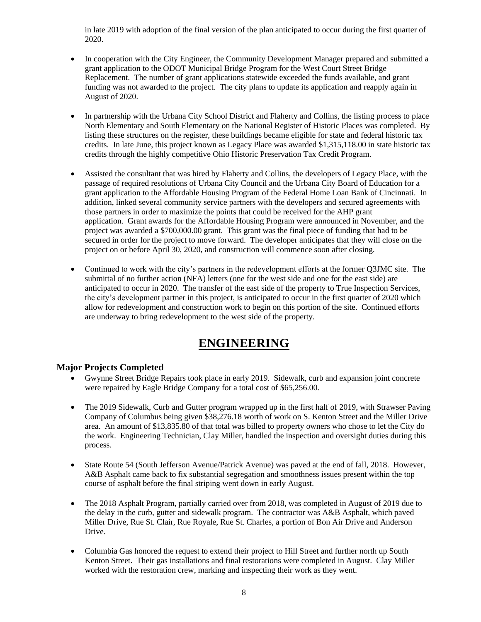in late 2019 with adoption of the final version of the plan anticipated to occur during the first quarter of 2020.

- In cooperation with the City Engineer, the Community Development Manager prepared and submitted a grant application to the ODOT Municipal Bridge Program for the West Court Street Bridge Replacement. The number of grant applications statewide exceeded the funds available, and grant funding was not awarded to the project. The city plans to update its application and reapply again in August of 2020.
- In partnership with the Urbana City School District and Flaherty and Collins, the listing process to place North Elementary and South Elementary on the National Register of Historic Places was completed. By listing these structures on the register, these buildings became eligible for state and federal historic tax credits. In late June, this project known as Legacy Place was awarded \$1,315,118.00 in state historic tax credits through the highly competitive Ohio Historic Preservation Tax Credit Program.
- Assisted the consultant that was hired by Flaherty and Collins, the developers of Legacy Place, with the passage of required resolutions of Urbana City Council and the Urbana City Board of Education for a grant application to the Affordable Housing Program of the Federal Home Loan Bank of Cincinnati. In addition, linked several community service partners with the developers and secured agreements with those partners in order to maximize the points that could be received for the AHP grant application. Grant awards for the Affordable Housing Program were announced in November, and the project was awarded a \$700,000.00 grant. This grant was the final piece of funding that had to be secured in order for the project to move forward. The developer anticipates that they will close on the project on or before April 30, 2020, and construction will commence soon after closing.
- Continued to work with the city's partners in the redevelopment efforts at the former Q3JMC site. The submittal of no further action (NFA) letters (one for the west side and one for the east side) are anticipated to occur in 2020. The transfer of the east side of the property to True Inspection Services, the city's development partner in this project, is anticipated to occur in the first quarter of 2020 which allow for redevelopment and construction work to begin on this portion of the site. Continued efforts are underway to bring redevelopment to the west side of the property.

# **ENGINEERING**

# **Major Projects Completed**

- Gwynne Street Bridge Repairs took place in early 2019. Sidewalk, curb and expansion joint concrete were repaired by Eagle Bridge Company for a total cost of \$65,256.00.
- The 2019 Sidewalk, Curb and Gutter program wrapped up in the first half of 2019, with Strawser Paving Company of Columbus being given \$38,276.18 worth of work on S. Kenton Street and the Miller Drive area. An amount of \$13,835.80 of that total was billed to property owners who chose to let the City do the work. Engineering Technician, Clay Miller, handled the inspection and oversight duties during this process.
- State Route 54 (South Jefferson Avenue/Patrick Avenue) was paved at the end of fall, 2018. However, A&B Asphalt came back to fix substantial segregation and smoothness issues present within the top course of asphalt before the final striping went down in early August.
- The 2018 Asphalt Program, partially carried over from 2018, was completed in August of 2019 due to the delay in the curb, gutter and sidewalk program. The contractor was A&B Asphalt, which paved Miller Drive, Rue St. Clair, Rue Royale, Rue St. Charles, a portion of Bon Air Drive and Anderson Drive.
- Columbia Gas honored the request to extend their project to Hill Street and further north up South Kenton Street. Their gas installations and final restorations were completed in August. Clay Miller worked with the restoration crew, marking and inspecting their work as they went.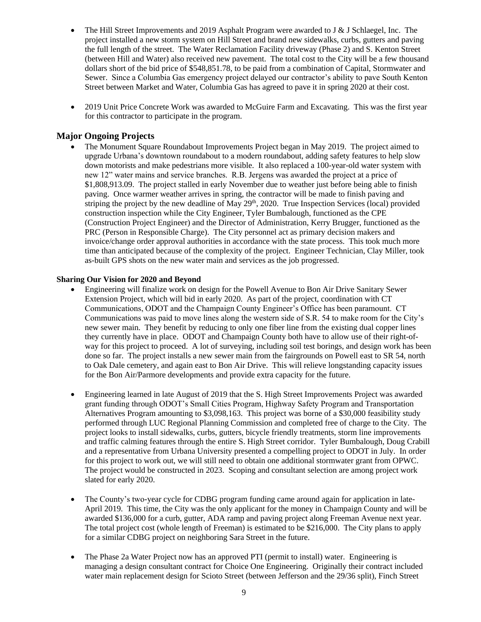- The Hill Street Improvements and 2019 Asphalt Program were awarded to J & J Schlaegel, Inc. The project installed a new storm system on Hill Street and brand new sidewalks, curbs, gutters and paving the full length of the street. The Water Reclamation Facility driveway (Phase 2) and S. Kenton Street (between Hill and Water) also received new pavement. The total cost to the City will be a few thousand dollars short of the bid price of \$548,851.78, to be paid from a combination of Capital, Stormwater and Sewer. Since a Columbia Gas emergency project delayed our contractor's ability to pave South Kenton Street between Market and Water, Columbia Gas has agreed to pave it in spring 2020 at their cost.
- 2019 Unit Price Concrete Work was awarded to McGuire Farm and Excavating. This was the first year for this contractor to participate in the program.

# **Major Ongoing Projects**

• The Monument Square Roundabout Improvements Project began in May 2019. The project aimed to upgrade Urbana's downtown roundabout to a modern roundabout, adding safety features to help slow down motorists and make pedestrians more visible. It also replaced a 100-year-old water system with new 12" water mains and service branches. R.B. Jergens was awarded the project at a price of \$1,808,913.09. The project stalled in early November due to weather just before being able to finish paving. Once warmer weather arrives in spring, the contractor will be made to finish paving and striping the project by the new deadline of May  $29<sup>th</sup>$ , 2020. True Inspection Services (local) provided construction inspection while the City Engineer, Tyler Bumbalough, functioned as the CPE (Construction Project Engineer) and the Director of Administration, Kerry Brugger, functioned as the PRC (Person in Responsible Charge). The City personnel act as primary decision makers and invoice/change order approval authorities in accordance with the state process. This took much more time than anticipated because of the complexity of the project. Engineer Technician, Clay Miller, took as-built GPS shots on the new water main and services as the job progressed.

#### **Sharing Our Vision for 2020 and Beyond**

- Engineering will finalize work on design for the Powell Avenue to Bon Air Drive Sanitary Sewer Extension Project, which will bid in early 2020. As part of the project, coordination with CT Communications, ODOT and the Champaign County Engineer's Office has been paramount. CT Communications was paid to move lines along the western side of S.R. 54 to make room for the City's new sewer main. They benefit by reducing to only one fiber line from the existing dual copper lines they currently have in place. ODOT and Champaign County both have to allow use of their right-ofway for this project to proceed. A lot of surveying, including soil test borings, and design work has been done so far. The project installs a new sewer main from the fairgrounds on Powell east to SR 54, north to Oak Dale cemetery, and again east to Bon Air Drive. This will relieve longstanding capacity issues for the Bon Air/Parmore developments and provide extra capacity for the future.
- Engineering learned in late August of 2019 that the S. High Street Improvements Project was awarded grant funding through ODOT's Small Cities Program, Highway Safety Program and Transportation Alternatives Program amounting to \$3,098,163. This project was borne of a \$30,000 feasibility study performed through LUC Regional Planning Commission and completed free of charge to the City. The project looks to install sidewalks, curbs, gutters, bicycle friendly treatments, storm line improvements and traffic calming features through the entire S. High Street corridor. Tyler Bumbalough, Doug Crabill and a representative from Urbana University presented a compelling project to ODOT in July. In order for this project to work out, we will still need to obtain one additional stormwater grant from OPWC. The project would be constructed in 2023. Scoping and consultant selection are among project work slated for early 2020.
- The County's two-year cycle for CDBG program funding came around again for application in late-April 2019. This time, the City was the only applicant for the money in Champaign County and will be awarded \$136,000 for a curb, gutter, ADA ramp and paving project along Freeman Avenue next year. The total project cost (whole length of Freeman) is estimated to be \$216,000. The City plans to apply for a similar CDBG project on neighboring Sara Street in the future.
- The Phase 2a Water Project now has an approved PTI (permit to install) water. Engineering is managing a design consultant contract for Choice One Engineering. Originally their contract included water main replacement design for Scioto Street (between Jefferson and the 29/36 split), Finch Street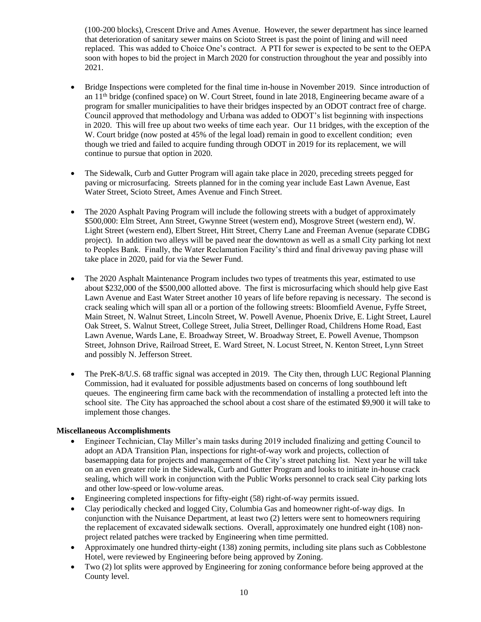(100-200 blocks), Crescent Drive and Ames Avenue. However, the sewer department has since learned that deterioration of sanitary sewer mains on Scioto Street is past the point of lining and will need replaced. This was added to Choice One's contract. A PTI for sewer is expected to be sent to the OEPA soon with hopes to bid the project in March 2020 for construction throughout the year and possibly into 2021.

- Bridge Inspections were completed for the final time in-house in November 2019. Since introduction of an 11th bridge (confined space) on W. Court Street, found in late 2018, Engineering became aware of a program for smaller municipalities to have their bridges inspected by an ODOT contract free of charge. Council approved that methodology and Urbana was added to ODOT's list beginning with inspections in 2020. This will free up about two weeks of time each year. Our 11 bridges, with the exception of the W. Court bridge (now posted at 45% of the legal load) remain in good to excellent condition; even though we tried and failed to acquire funding through ODOT in 2019 for its replacement, we will continue to pursue that option in 2020.
- The Sidewalk, Curb and Gutter Program will again take place in 2020, preceding streets pegged for paving or microsurfacing. Streets planned for in the coming year include East Lawn Avenue, East Water Street, Scioto Street, Ames Avenue and Finch Street.
- The 2020 Asphalt Paving Program will include the following streets with a budget of approximately \$500,000: Elm Street, Ann Street, Gwynne Street (western end), Mosgrove Street (western end), W. Light Street (western end), Elbert Street, Hitt Street, Cherry Lane and Freeman Avenue (separate CDBG project). In addition two alleys will be paved near the downtown as well as a small City parking lot next to Peoples Bank. Finally, the Water Reclamation Facility's third and final driveway paving phase will take place in 2020, paid for via the Sewer Fund.
- The 2020 Asphalt Maintenance Program includes two types of treatments this year, estimated to use about \$232,000 of the \$500,000 allotted above. The first is microsurfacing which should help give East Lawn Avenue and East Water Street another 10 years of life before repaving is necessary. The second is crack sealing which will span all or a portion of the following streets: Bloomfield Avenue, Fyffe Street, Main Street, N. Walnut Street, Lincoln Street, W. Powell Avenue, Phoenix Drive, E. Light Street, Laurel Oak Street, S. Walnut Street, College Street, Julia Street, Dellinger Road, Childrens Home Road, East Lawn Avenue, Wards Lane, E. Broadway Street, W. Broadway Street, E. Powell Avenue, Thompson Street, Johnson Drive, Railroad Street, E. Ward Street, N. Locust Street, N. Kenton Street, Lynn Street and possibly N. Jefferson Street.
- The PreK-8/U.S. 68 traffic signal was accepted in 2019. The City then, through LUC Regional Planning Commission, had it evaluated for possible adjustments based on concerns of long southbound left queues. The engineering firm came back with the recommendation of installing a protected left into the school site. The City has approached the school about a cost share of the estimated \$9,900 it will take to implement those changes.

#### **Miscellaneous Accomplishments**

- Engineer Technician, Clay Miller's main tasks during 2019 included finalizing and getting Council to adopt an ADA Transition Plan, inspections for right-of-way work and projects, collection of basemapping data for projects and management of the City's street patching list. Next year he will take on an even greater role in the Sidewalk, Curb and Gutter Program and looks to initiate in-house crack sealing, which will work in conjunction with the Public Works personnel to crack seal City parking lots and other low-speed or low-volume areas.
- Engineering completed inspections for fifty-eight (58) right-of-way permits issued.
- Clay periodically checked and logged City, Columbia Gas and homeowner right-of-way digs. In conjunction with the Nuisance Department, at least two (2) letters were sent to homeowners requiring the replacement of excavated sidewalk sections. Overall, approximately one hundred eight (108) nonproject related patches were tracked by Engineering when time permitted.
- Approximately one hundred thirty-eight (138) zoning permits, including site plans such as Cobblestone Hotel, were reviewed by Engineering before being approved by Zoning.
- Two (2) lot splits were approved by Engineering for zoning conformance before being approved at the County level.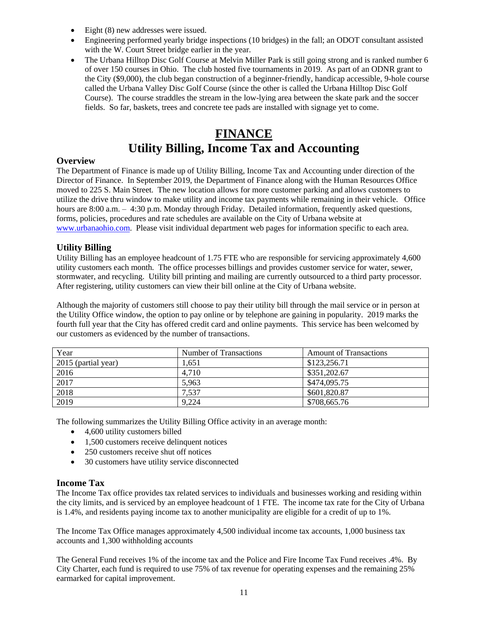- Eight (8) new addresses were issued.
- Engineering performed yearly bridge inspections (10 bridges) in the fall; an ODOT consultant assisted with the W. Court Street bridge earlier in the year.
- The Urbana Hilltop Disc Golf Course at Melvin Miller Park is still going strong and is ranked number 6 of over 150 courses in Ohio. The club hosted five tournaments in 2019. As part of an ODNR grant to the City (\$9,000), the club began construction of a beginner-friendly, handicap accessible, 9-hole course called the Urbana Valley Disc Golf Course (since the other is called the Urbana Hilltop Disc Golf Course). The course straddles the stream in the low-lying area between the skate park and the soccer fields. So far, baskets, trees and concrete tee pads are installed with signage yet to come.

# **FINANCE Utility Billing, Income Tax and Accounting**

# **Overview**

The Department of Finance is made up of Utility Billing, Income Tax and Accounting under direction of the Director of Finance. In September 2019, the Department of Finance along with the Human Resources Office moved to 225 S. Main Street. The new location allows for more customer parking and allows customers to utilize the drive thru window to make utility and income tax payments while remaining in their vehicle. Office hours are 8:00 a.m. – 4:30 p.m. Monday through Friday. Detailed information, frequently asked questions, forms, policies, procedures and rate schedules are available on the City of Urbana website at [www.urbanaohio.com.](http://www.urbanaohio.com/) Please visit individual department web pages for information specific to each area.

# **Utility Billing**

Utility Billing has an employee headcount of 1.75 FTE who are responsible for servicing approximately 4,600 utility customers each month. The office processes billings and provides customer service for water, sewer, stormwater, and recycling. Utility bill printing and mailing are currently outsourced to a third party processor. After registering, utility customers can view their bill online at the City of Urbana website.

Although the majority of customers still choose to pay their utility bill through the mail service or in person at the Utility Office window, the option to pay online or by telephone are gaining in popularity. 2019 marks the fourth full year that the City has offered credit card and online payments. This service has been welcomed by our customers as evidenced by the number of transactions.

| Year                | Number of Transactions | <b>Amount of Transactions</b> |
|---------------------|------------------------|-------------------------------|
| 2015 (partial year) | 1.651                  | \$123,256.71                  |
| 2016                | 4.710                  | \$351,202.67                  |
| 2017                | 5,963                  | \$474,095.75                  |
| 2018                | 7,537                  | \$601,820.87                  |
| 2019                | 9.224                  | \$708,665.76                  |

The following summarizes the Utility Billing Office activity in an average month:

- 4,600 utility customers billed
- 1,500 customers receive delinquent notices
- 250 customers receive shut off notices
- 30 customers have utility service disconnected

### **Income Tax**

The Income Tax office provides tax related services to individuals and businesses working and residing within the city limits, and is serviced by an employee headcount of 1 FTE. The income tax rate for the City of Urbana is 1.4%, and residents paying income tax to another municipality are eligible for a credit of up to 1%.

The Income Tax Office manages approximately 4,500 individual income tax accounts, 1,000 business tax accounts and 1,300 withholding accounts

The General Fund receives 1% of the income tax and the Police and Fire Income Tax Fund receives .4%. By City Charter, each fund is required to use 75% of tax revenue for operating expenses and the remaining 25% earmarked for capital improvement.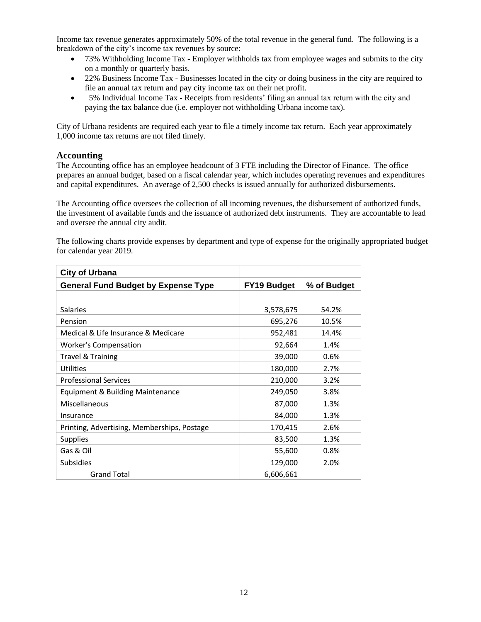Income tax revenue generates approximately 50% of the total revenue in the general fund. The following is a breakdown of the city's income tax revenues by source:

- 73% Withholding Income Tax Employer withholds tax from employee wages and submits to the city on a monthly or quarterly basis.
- 22% Business Income Tax Businesses located in the city or doing business in the city are required to file an annual tax return and pay city income tax on their net profit.
- 5% Individual Income Tax Receipts from residents' filing an annual tax return with the city and paying the tax balance due (i.e. employer not withholding Urbana income tax).

City of Urbana residents are required each year to file a timely income tax return. Each year approximately 1,000 income tax returns are not filed timely.

### **Accounting**

The Accounting office has an employee headcount of 3 FTE including the Director of Finance. The office prepares an annual budget, based on a fiscal calendar year, which includes operating revenues and expenditures and capital expenditures. An average of 2,500 checks is issued annually for authorized disbursements.

The Accounting office oversees the collection of all incoming revenues, the disbursement of authorized funds, the investment of available funds and the issuance of authorized debt instruments. They are accountable to lead and oversee the annual city audit.

The following charts provide expenses by department and type of expense for the originally appropriated budget for calendar year 2019.

| <b>City of Urbana</b>                       |                    |             |
|---------------------------------------------|--------------------|-------------|
| <b>General Fund Budget by Expense Type</b>  | <b>FY19 Budget</b> | % of Budget |
|                                             |                    |             |
| <b>Salaries</b>                             | 3,578,675          | 54.2%       |
| Pension                                     | 695,276            | 10.5%       |
| Medical & Life Insurance & Medicare         | 952,481            | 14.4%       |
| <b>Worker's Compensation</b>                | 92,664             | 1.4%        |
| Travel & Training                           | 39,000             | 0.6%        |
| Utilities                                   | 180,000            | 2.7%        |
| <b>Professional Services</b>                | 210,000            | 3.2%        |
| Equipment & Building Maintenance            | 249,050            | 3.8%        |
| Miscellaneous                               | 87,000             | 1.3%        |
| Insurance                                   | 84,000             | 1.3%        |
| Printing, Advertising, Memberships, Postage | 170,415            | 2.6%        |
| <b>Supplies</b>                             | 83,500             | 1.3%        |
| Gas & Oil                                   | 55,600             | $0.8\%$     |
| <b>Subsidies</b>                            | 129,000            | 2.0%        |
| <b>Grand Total</b>                          | 6,606,661          |             |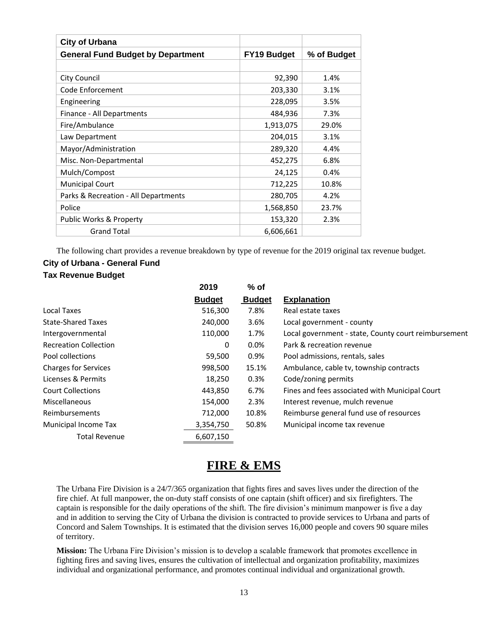| <b>City of Urbana</b>                    |                    |             |
|------------------------------------------|--------------------|-------------|
| <b>General Fund Budget by Department</b> | <b>FY19 Budget</b> | % of Budget |
|                                          |                    |             |
| <b>City Council</b>                      | 92,390             | 1.4%        |
| Code Enforcement                         | 203,330            | 3.1%        |
| Engineering                              | 228,095            | 3.5%        |
| Finance - All Departments                | 484,936            | 7.3%        |
| Fire/Ambulance                           | 1,913,075          | 29.0%       |
| Law Department                           | 204,015            | 3.1%        |
| Mayor/Administration                     | 289,320            | 4.4%        |
| Misc. Non-Departmental                   | 452,275            | 6.8%        |
| Mulch/Compost                            | 24,125             | 0.4%        |
| <b>Municipal Court</b>                   | 712,225            | 10.8%       |
| Parks & Recreation - All Departments     | 280,705            | 4.2%        |
| Police                                   | 1,568,850          | 23.7%       |
| Public Works & Property                  | 153,320            | 2.3%        |
| <b>Grand Total</b>                       | 6,606,661          |             |

The following chart provides a revenue breakdown by type of revenue for the 2019 original tax revenue budget.

# **City of Urbana - General Fund Tax Revenue Budget**

|                              | 2019          | $%$ of        |                                                      |
|------------------------------|---------------|---------------|------------------------------------------------------|
|                              | <b>Budget</b> | <b>Budget</b> | <b>Explanation</b>                                   |
| Local Taxes                  | 516,300       | 7.8%          | Real estate taxes                                    |
| State-Shared Taxes           | 240,000       | 3.6%          | Local government - county                            |
| Intergovernmental            | 110,000       | 1.7%          | Local government - state, County court reimbursement |
| <b>Recreation Collection</b> | 0             | 0.0%          | Park & recreation revenue                            |
| Pool collections             | 59,500        | 0.9%          | Pool admissions, rentals, sales                      |
| <b>Charges for Services</b>  | 998,500       | 15.1%         | Ambulance, cable tv, township contracts              |
| Licenses & Permits           | 18,250        | 0.3%          | Code/zoning permits                                  |
| <b>Court Collections</b>     | 443,850       | 6.7%          | Fines and fees associated with Municipal Court       |
| <b>Miscellaneous</b>         | 154,000       | 2.3%          | Interest revenue, mulch revenue                      |
| Reimbursements               | 712,000       | 10.8%         | Reimburse general fund use of resources              |
| Municipal Income Tax         | 3,354,750     | 50.8%         | Municipal income tax revenue                         |
| <b>Total Revenue</b>         | 6,607,150     |               |                                                      |

# **FIRE & EMS**

The Urbana Fire Division is a 24/7/365 organization that fights fires and saves lives under the direction of the fire chief. At full manpower, the on-duty staff consists of one captain (shift officer) and six firefighters. The captain is responsible for the daily operations of the shift. The fire division's minimum manpower is five a day and in addition to serving the City of Urbana the division is contracted to provide services to Urbana and parts of Concord and Salem Townships. It is estimated that the division serves 16,000 people and covers 90 square miles of territory.

**Mission:** The Urbana Fire Division's mission is to develop a scalable framework that promotes excellence in fighting fires and saving lives, ensures the cultivation of intellectual and organization profitability, maximizes individual and organizational performance, and promotes continual individual and organizational growth.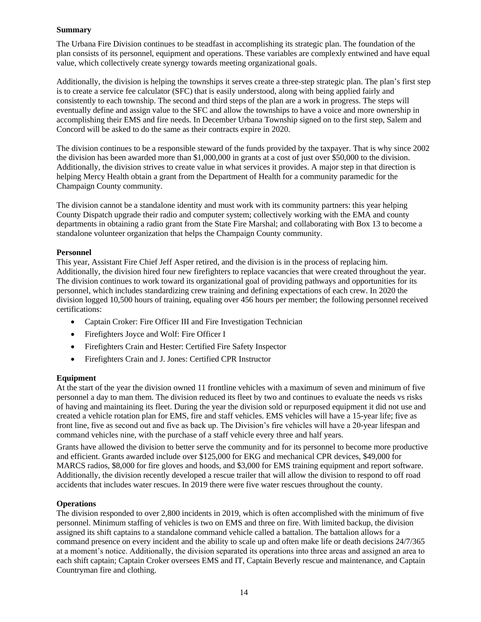#### **Summary**

The Urbana Fire Division continues to be steadfast in accomplishing its strategic plan. The foundation of the plan consists of its personnel, equipment and operations. These variables are complexly entwined and have equal value, which collectively create synergy towards meeting organizational goals.

Additionally, the division is helping the townships it serves create a three-step strategic plan. The plan's first step is to create a service fee calculator (SFC) that is easily understood, along with being applied fairly and consistently to each township. The second and third steps of the plan are a work in progress. The steps will eventually define and assign value to the SFC and allow the townships to have a voice and more ownership in accomplishing their EMS and fire needs. In December Urbana Township signed on to the first step, Salem and Concord will be asked to do the same as their contracts expire in 2020.

The division continues to be a responsible steward of the funds provided by the taxpayer. That is why since 2002 the division has been awarded more than \$1,000,000 in grants at a cost of just over \$50,000 to the division. Additionally, the division strives to create value in what services it provides. A major step in that direction is helping Mercy Health obtain a grant from the Department of Health for a community paramedic for the Champaign County community.

The division cannot be a standalone identity and must work with its community partners: this year helping County Dispatch upgrade their radio and computer system; collectively working with the EMA and county departments in obtaining a radio grant from the State Fire Marshal; and collaborating with Box 13 to become a standalone volunteer organization that helps the Champaign County community.

#### **Personnel**

This year, Assistant Fire Chief Jeff Asper retired, and the division is in the process of replacing him. Additionally, the division hired four new firefighters to replace vacancies that were created throughout the year. The division continues to work toward its organizational goal of providing pathways and opportunities for its personnel, which includes standardizing crew training and defining expectations of each crew. In 2020 the division logged 10,500 hours of training, equaling over 456 hours per member; the following personnel received certifications:

- Captain Croker: Fire Officer III and Fire Investigation Technician
- Firefighters Joyce and Wolf: Fire Officer I
- Firefighters Crain and Hester: Certified Fire Safety Inspector
- Firefighters Crain and J. Jones: Certified CPR Instructor

#### **Equipment**

At the start of the year the division owned 11 frontline vehicles with a maximum of seven and minimum of five personnel a day to man them. The division reduced its fleet by two and continues to evaluate the needs vs risks of having and maintaining its fleet. During the year the division sold or repurposed equipment it did not use and created a vehicle rotation plan for EMS, fire and staff vehicles. EMS vehicles will have a 15-year life; five as front line, five as second out and five as back up. The Division's fire vehicles will have a 20-year lifespan and command vehicles nine, with the purchase of a staff vehicle every three and half years.

Grants have allowed the division to better serve the community and for its personnel to become more productive and efficient. Grants awarded include over \$125,000 for EKG and mechanical CPR devices, \$49,000 for MARCS radios, \$8,000 for fire gloves and hoods, and \$3,000 for EMS training equipment and report software. Additionally, the division recently developed a rescue trailer that will allow the division to respond to off road accidents that includes water rescues. In 2019 there were five water rescues throughout the county.

#### **Operations**

The division responded to over 2,800 incidents in 2019, which is often accomplished with the minimum of five personnel. Minimum staffing of vehicles is two on EMS and three on fire. With limited backup, the division assigned its shift captains to a standalone command vehicle called a battalion. The battalion allows for a command presence on every incident and the ability to scale up and often make life or death decisions 24/7/365 at a moment's notice. Additionally, the division separated its operations into three areas and assigned an area to each shift captain; Captain Croker oversees EMS and IT, Captain Beverly rescue and maintenance, and Captain Countryman fire and clothing.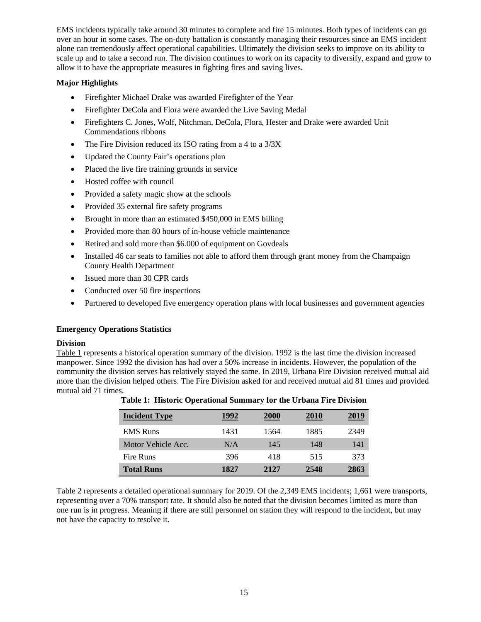EMS incidents typically take around 30 minutes to complete and fire 15 minutes. Both types of incidents can go over an hour in some cases. The on-duty battalion is constantly managing their resources since an EMS incident alone can tremendously affect operational capabilities. Ultimately the division seeks to improve on its ability to scale up and to take a second run. The division continues to work on its capacity to diversify, expand and grow to allow it to have the appropriate measures in fighting fires and saving lives.

### **Major Highlights**

- Firefighter Michael Drake was awarded Firefighter of the Year
- Firefighter DeCola and Flora were awarded the Live Saving Medal
- Firefighters C. Jones, Wolf, Nitchman, DeCola, Flora, Hester and Drake were awarded Unit Commendations ribbons
- The Fire Division reduced its ISO rating from a 4 to a  $3/3X$
- Updated the County Fair's operations plan
- Placed the live fire training grounds in service
- Hosted coffee with council
- Provided a safety magic show at the schools
- Provided 35 external fire safety programs
- Brought in more than an estimated \$450,000 in EMS billing
- Provided more than 80 hours of in-house vehicle maintenance
- Retired and sold more than \$6.000 of equipment on Govdeals
- Installed 46 car seats to families not able to afford them through grant money from the Champaign County Health Department
- Issued more than 30 CPR cards
- Conducted over 50 fire inspections
- Partnered to developed five emergency operation plans with local businesses and government agencies

### **Emergency Operations Statistics**

### **Division**

Table 1 represents a historical operation summary of the division. 1992 is the last time the division increased manpower. Since 1992 the division has had over a 50% increase in incidents. However, the population of the community the division serves has relatively stayed the same. In 2019, Urbana Fire Division received mutual aid more than the division helped others. The Fire Division asked for and received mutual aid 81 times and provided mutual aid 71 times.

| <b>Incident Type</b> | 1992 | <b>2000</b> | <b>2010</b> | 2019 |
|----------------------|------|-------------|-------------|------|
| <b>EMS</b> Runs      | 1431 | 1564        | 1885        | 2349 |
| Motor Vehicle Acc.   | N/A  | 145         | 148         | 141  |
| Fire Runs            | 396  | 418         | 515         | 373  |
| <b>Total Runs</b>    | 1827 | 2.12.7      | 2548        | 2863 |

**Table 1: Historic Operational Summary for the Urbana Fire Division**

Table 2 represents a detailed operational summary for 2019. Of the 2,349 EMS incidents; 1,661 were transports, representing over a 70% transport rate. It should also be noted that the division becomes limited as more than one run is in progress. Meaning if there are still personnel on station they will respond to the incident, but may not have the capacity to resolve it.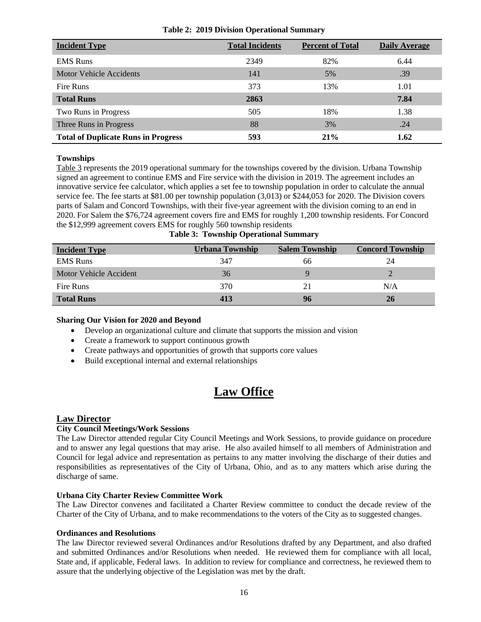| <b>Incident Type</b>                       | <b>Total Incidents</b> | <b>Percent of Total</b> | <b>Daily Average</b> |
|--------------------------------------------|------------------------|-------------------------|----------------------|
| <b>EMS</b> Runs                            | 2349                   | 82%                     | 6.44                 |
| Motor Vehicle Accidents                    | 141                    | 5%                      | .39                  |
| Fire Runs                                  | 373                    | 13%                     | 1.01                 |
| <b>Total Runs</b>                          | 2863                   |                         | 7.84                 |
| Two Runs in Progress                       | 505                    | 18%                     | 1.38                 |
| Three Runs in Progress                     | 88                     | 3%                      | .24                  |
| <b>Total of Duplicate Runs in Progress</b> | 593                    | 21%                     | 1.62                 |

#### **Table 2: 2019 Division Operational Summary**

#### **Townships**

Table 3 represents the 2019 operational summary for the townships covered by the division. Urbana Township signed an agreement to continue EMS and Fire service with the division in 2019. The agreement includes an innovative service fee calculator, which applies a set fee to township population in order to calculate the annual service fee. The fee starts at \$81.00 per township population (3,013) or \$244,053 for 2020. The Division covers parts of Salam and Concord Townships, with their five-year agreement with the division coming to an end in 2020. For Salem the \$76,724 agreement covers fire and EMS for roughly 1,200 township residents. For Concord the \$12,999 agreement covers EMS for roughly 560 township residents

| <b>Incident Type</b>   | Urbana Township | <b>Salem Township</b> | <b>Concord Township</b> |
|------------------------|-----------------|-----------------------|-------------------------|
| <b>EMS</b> Runs        | 347             | 66                    | 24                      |
| Motor Vehicle Accident | 36              |                       |                         |
| Fire Runs              | 370             | 21                    | N/A                     |
| <b>Total Runs</b>      | 413             | 96                    | 26                      |

#### **Sharing Our Vision for 2020 and Beyond**

- Develop an organizational culture and climate that supports the mission and vision
- Create a framework to support continuous growth
- Create pathways and opportunities of growth that supports core values
- Build exceptional internal and external relationships

# **Law Office**

#### **Law Director**

#### **City Council Meetings/Work Sessions**

The Law Director attended regular City Council Meetings and Work Sessions, to provide guidance on procedure and to answer any legal questions that may arise. He also availed himself to all members of Administration and Council for legal advice and representation as pertains to any matter involving the discharge of their duties and responsibilities as representatives of the City of Urbana, Ohio, and as to any matters which arise during the discharge of same.

#### **Urbana City Charter Review Committee Work**

The Law Director convenes and facilitated a Charter Review committee to conduct the decade review of the Charter of the City of Urbana, and to make recommendations to the voters of the City as to suggested changes.

#### **Ordinances and Resolutions**

The law Director reviewed several Ordinances and/or Resolutions drafted by any Department, and also drafted and submitted Ordinances and/or Resolutions when needed. He reviewed them for compliance with all local, State and, if applicable, Federal laws. In addition to review for compliance and correctness, he reviewed them to assure that the underlying objective of the Legislation was met by the draft.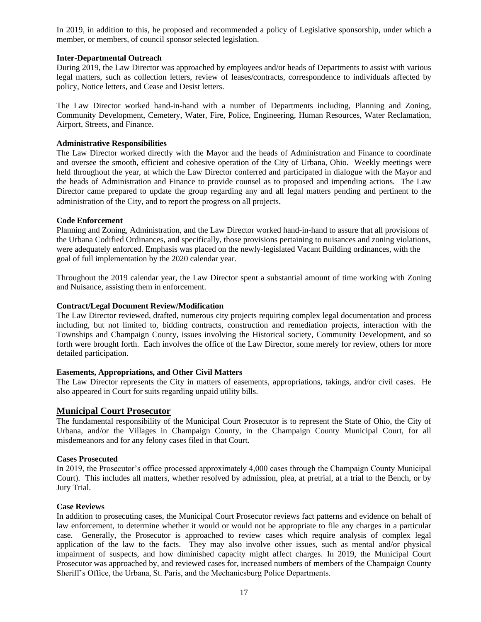In 2019, in addition to this, he proposed and recommended a policy of Legislative sponsorship, under which a member, or members, of council sponsor selected legislation.

#### **Inter-Departmental Outreach**

During 2019, the Law Director was approached by employees and/or heads of Departments to assist with various legal matters, such as collection letters, review of leases/contracts, correspondence to individuals affected by policy, Notice letters, and Cease and Desist letters.

The Law Director worked hand-in-hand with a number of Departments including, Planning and Zoning, Community Development, Cemetery, Water, Fire, Police, Engineering, Human Resources, Water Reclamation, Airport, Streets, and Finance.

#### **Administrative Responsibilities**

The Law Director worked directly with the Mayor and the heads of Administration and Finance to coordinate and oversee the smooth, efficient and cohesive operation of the City of Urbana, Ohio. Weekly meetings were held throughout the year, at which the Law Director conferred and participated in dialogue with the Mayor and the heads of Administration and Finance to provide counsel as to proposed and impending actions. The Law Director came prepared to update the group regarding any and all legal matters pending and pertinent to the administration of the City, and to report the progress on all projects.

#### **Code Enforcement**

Planning and Zoning, Administration, and the Law Director worked hand-in-hand to assure that all provisions of the Urbana Codified Ordinances, and specifically, those provisions pertaining to nuisances and zoning violations, were adequately enforced. Emphasis was placed on the newly-legislated Vacant Building ordinances, with the goal of full implementation by the 2020 calendar year.

Throughout the 2019 calendar year, the Law Director spent a substantial amount of time working with Zoning and Nuisance, assisting them in enforcement.

#### **Contract/Legal Document Review/Modification**

The Law Director reviewed, drafted, numerous city projects requiring complex legal documentation and process including, but not limited to, bidding contracts, construction and remediation projects, interaction with the Townships and Champaign County, issues involving the Historical society, Community Development, and so forth were brought forth. Each involves the office of the Law Director, some merely for review, others for more detailed participation.

#### **Easements, Appropriations, and Other Civil Matters**

The Law Director represents the City in matters of easements, appropriations, takings, and/or civil cases. He also appeared in Court for suits regarding unpaid utility bills.

### **Municipal Court Prosecutor**

The fundamental responsibility of the Municipal Court Prosecutor is to represent the State of Ohio, the City of Urbana, and/or the Villages in Champaign County, in the Champaign County Municipal Court, for all misdemeanors and for any felony cases filed in that Court.

#### **Cases Prosecuted**

In 2019, the Prosecutor's office processed approximately 4,000 cases through the Champaign County Municipal Court). This includes all matters, whether resolved by admission, plea, at pretrial, at a trial to the Bench, or by Jury Trial.

#### **Case Reviews**

In addition to prosecuting cases, the Municipal Court Prosecutor reviews fact patterns and evidence on behalf of law enforcement, to determine whether it would or would not be appropriate to file any charges in a particular case. Generally, the Prosecutor is approached to review cases which require analysis of complex legal application of the law to the facts. They may also involve other issues, such as mental and/or physical impairment of suspects, and how diminished capacity might affect charges. In 2019, the Municipal Court Prosecutor was approached by, and reviewed cases for, increased numbers of members of the Champaign County Sheriff's Office, the Urbana, St. Paris, and the Mechanicsburg Police Departments.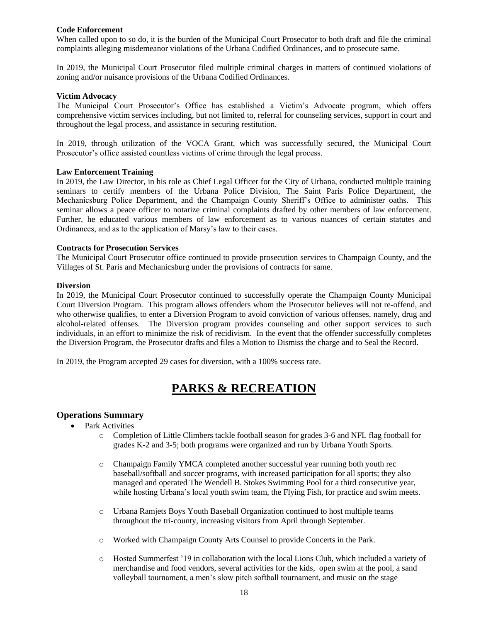#### **Code Enforcement**

When called upon to so do, it is the burden of the Municipal Court Prosecutor to both draft and file the criminal complaints alleging misdemeanor violations of the Urbana Codified Ordinances, and to prosecute same.

In 2019, the Municipal Court Prosecutor filed multiple criminal charges in matters of continued violations of zoning and/or nuisance provisions of the Urbana Codified Ordinances.

#### **Victim Advocacy**

The Municipal Court Prosecutor's Office has established a Victim's Advocate program, which offers comprehensive victim services including, but not limited to, referral for counseling services, support in court and throughout the legal process, and assistance in securing restitution.

In 2019, through utilization of the VOCA Grant, which was successfully secured, the Municipal Court Prosecutor's office assisted countless victims of crime through the legal process.

#### **Law Enforcement Training**

In 2019, the Law Director, in his role as Chief Legal Officer for the City of Urbana, conducted multiple training seminars to certify members of the Urbana Police Division, The Saint Paris Police Department, the Mechanicsburg Police Department, and the Champaign County Sheriff's Office to administer oaths. This seminar allows a peace officer to notarize criminal complaints drafted by other members of law enforcement. Further, he educated various members of law enforcement as to various nuances of certain statutes and Ordinances, and as to the application of Marsy's law to their cases.

#### **Contracts for Prosecution Services**

The Municipal Court Prosecutor office continued to provide prosecution services to Champaign County, and the Villages of St. Paris and Mechanicsburg under the provisions of contracts for same.

#### **Diversion**

In 2019, the Municipal Court Prosecutor continued to successfully operate the Champaign County Municipal Court Diversion Program. This program allows offenders whom the Prosecutor believes will not re-offend, and who otherwise qualifies, to enter a Diversion Program to avoid conviction of various offenses, namely, drug and alcohol-related offenses. The Diversion program provides counseling and other support services to such individuals, in an effort to minimize the risk of recidivism. In the event that the offender successfully completes the Diversion Program, the Prosecutor drafts and files a Motion to Dismiss the charge and to Seal the Record.

In 2019, the Program accepted 29 cases for diversion, with a 100% success rate.

# **PARKS & RECREATION**

### **Operations Summary**

- Park Activities
	- o Completion of Little Climbers tackle football season for grades 3-6 and NFL flag football for grades K-2 and 3-5; both programs were organized and run by Urbana Youth Sports.
	- o Champaign Family YMCA completed another successful year running both youth rec baseball/softball and soccer programs, with increased participation for all sports; they also managed and operated The Wendell B. Stokes Swimming Pool for a third consecutive year, while hosting Urbana's local youth swim team, the Flying Fish, for practice and swim meets.
	- o Urbana Ramjets Boys Youth Baseball Organization continued to host multiple teams throughout the tri-county, increasing visitors from April through September.
	- o Worked with Champaign County Arts Counsel to provide Concerts in the Park.
	- o Hosted Summerfest '19 in collaboration with the local Lions Club, which included a variety of merchandise and food vendors, several activities for the kids, open swim at the pool, a sand volleyball tournament, a men's slow pitch softball tournament, and music on the stage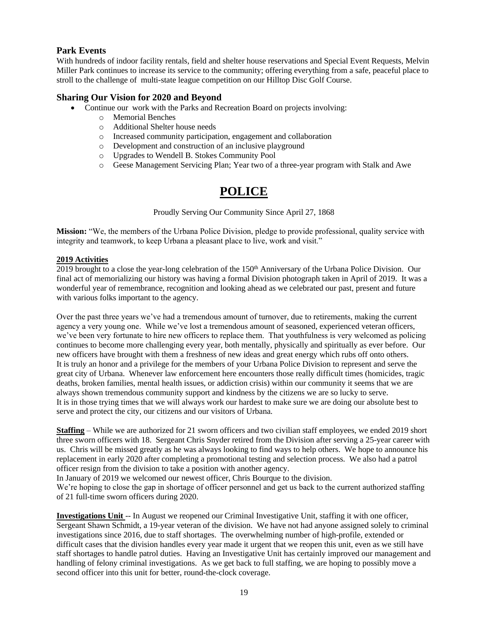# **Park Events**

With hundreds of indoor facility rentals, field and shelter house reservations and Special Event Requests, Melvin Miller Park continues to increase its service to the community; offering everything from a safe, peaceful place to stroll to the challenge of multi-state league competition on our Hilltop Disc Golf Course.

# **Sharing Our Vision for 2020 and Beyond**

- Continue our work with the Parks and Recreation Board on projects involving:
	- o Memorial Benches
	- o Additional Shelter house needs
	- o Increased community participation, engagement and collaboration
	- o Development and construction of an inclusive playground
	- o Upgrades to Wendell B. Stokes Community Pool
	- o Geese Management Servicing Plan; Year two of a three-year program with Stalk and Awe

# **POLICE**

Proudly Serving Our Community Since April 27, 1868

**Mission:** "We, the members of the Urbana Police Division, pledge to provide professional, quality service with integrity and teamwork, to keep Urbana a pleasant place to live, work and visit."

#### **2019 Activities**

2019 brought to a close the year-long celebration of the 150<sup>th</sup> Anniversary of the Urbana Police Division. Our final act of memorializing our history was having a formal Division photograph taken in April of 2019. It was a wonderful year of remembrance, recognition and looking ahead as we celebrated our past, present and future with various folks important to the agency.

Over the past three years we've had a tremendous amount of turnover, due to retirements, making the current agency a very young one. While we've lost a tremendous amount of seasoned, experienced veteran officers, we've been very fortunate to hire new officers to replace them. That youthfulness is very welcomed as policing continues to become more challenging every year, both mentally, physically and spiritually as ever before. Our new officers have brought with them a freshness of new ideas and great energy which rubs off onto others. It is truly an honor and a privilege for the members of your Urbana Police Division to represent and serve the great city of Urbana. Whenever law enforcement here encounters those really difficult times (homicides, tragic deaths, broken families, mental health issues, or addiction crisis) within our community it seems that we are always shown tremendous community support and kindness by the citizens we are so lucky to serve. It is in those trying times that we will always work our hardest to make sure we are doing our absolute best to serve and protect the city, our citizens and our visitors of Urbana.

**Staffing** – While we are authorized for 21 sworn officers and two civilian staff employees, we ended 2019 short three sworn officers with 18. Sergeant Chris Snyder retired from the Division after serving a 25-year career with us. Chris will be missed greatly as he was always looking to find ways to help others. We hope to announce his replacement in early 2020 after completing a promotional testing and selection process. We also had a patrol officer resign from the division to take a position with another agency.

In January of 2019 we welcomed our newest officer, Chris Bourque to the division.

We're hoping to close the gap in shortage of officer personnel and get us back to the current authorized staffing of 21 full-time sworn officers during 2020.

**Investigations Unit** -- In August we reopened our Criminal Investigative Unit, staffing it with one officer, Sergeant Shawn Schmidt, a 19-year veteran of the division. We have not had anyone assigned solely to criminal investigations since 2016, due to staff shortages. The overwhelming number of high-profile, extended or difficult cases that the division handles every year made it urgent that we reopen this unit, even as we still have staff shortages to handle patrol duties. Having an Investigative Unit has certainly improved our management and handling of felony criminal investigations. As we get back to full staffing, we are hoping to possibly move a second officer into this unit for better, round-the-clock coverage.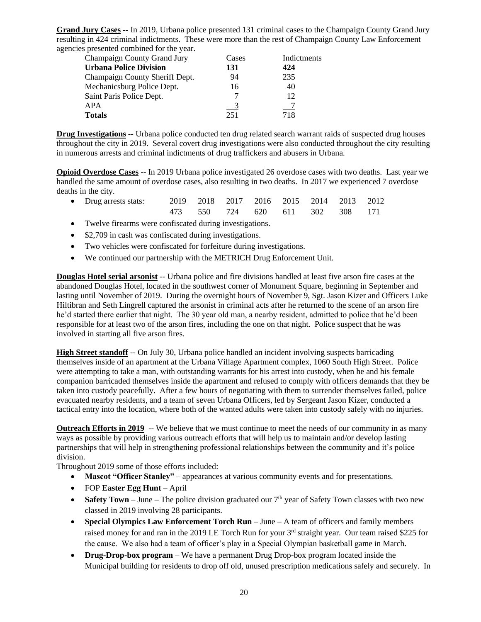**Grand Jury Cases** -- In 2019, Urbana police presented 131 criminal cases to the Champaign County Grand Jury resulting in 424 criminal indictments. These were more than the rest of Champaign County Law Enforcement agencies presented combined for the year.

| Champaign County Grand Jury    | Cases | Indictments |
|--------------------------------|-------|-------------|
| <b>Urbana Police Division</b>  | 131   | 424         |
| Champaign County Sheriff Dept. | 94    | 235         |
| Mechanicsburg Police Dept.     | 16    | 40          |
| Saint Paris Police Dept.       |       | 12          |
| <b>APA</b>                     |       |             |
| <b>Totals</b>                  | 251   | 718         |
|                                |       |             |

**Drug Investigations** -- Urbana police conducted ten drug related search warrant raids of suspected drug houses throughout the city in 2019. Several covert drug investigations were also conducted throughout the city resulting in numerous arrests and criminal indictments of drug traffickers and abusers in Urbana.

**Opioid Overdose Cases** -- In 2019 Urbana police investigated 26 overdose cases with two deaths. Last year we handled the same amount of overdose cases, also resulting in two deaths. In 2017 we experienced 7 overdose deaths in the city.

| • Drug arrests stats: 2019 2018 2017 2016 2015 2014 2013 2012 |  |                                 |  |  |  |
|---------------------------------------------------------------|--|---------------------------------|--|--|--|
|                                                               |  | 473 550 724 620 611 302 308 171 |  |  |  |

- Twelve firearms were confiscated during investigations.
- \$2,709 in cash was confiscated during investigations.
- Two vehicles were confiscated for forfeiture during investigations.
- We continued our partnership with the METRICH Drug Enforcement Unit.

**Douglas Hotel serial arsonist** -- Urbana police and fire divisions handled at least five arson fire cases at the abandoned Douglas Hotel, located in the southwest corner of Monument Square, beginning in September and lasting until November of 2019. During the overnight hours of November 9, Sgt. Jason Kizer and Officers Luke Hiltibran and Seth Lingrell captured the arsonist in criminal acts after he returned to the scene of an arson fire he'd started there earlier that night. The 30 year old man, a nearby resident, admitted to police that he'd been responsible for at least two of the arson fires, including the one on that night. Police suspect that he was involved in starting all five arson fires.

**High Street standoff** -- On July 30, Urbana police handled an incident involving suspects barricading themselves inside of an apartment at the Urbana Village Apartment complex, 1060 South High Street. Police were attempting to take a man, with outstanding warrants for his arrest into custody, when he and his female companion barricaded themselves inside the apartment and refused to comply with officers demands that they be taken into custody peacefully. After a few hours of negotiating with them to surrender themselves failed, police evacuated nearby residents, and a team of seven Urbana Officers, led by Sergeant Jason Kizer, conducted a tactical entry into the location, where both of the wanted adults were taken into custody safely with no injuries.

**Outreach Efforts in 2019** -- We believe that we must continue to meet the needs of our community in as many ways as possible by providing various outreach efforts that will help us to maintain and/or develop lasting partnerships that will help in strengthening professional relationships between the community and it's police division.

Throughout 2019 some of those efforts included:

- **Mascot "Officer Stanley"** appearances at various community events and for presentations.
- FOP **Easter Egg Hunt** April
- **Safety Town** June The police division graduated our  $7<sup>th</sup>$  year of Safety Town classes with two new classed in 2019 involving 28 participants.
- **Special Olympics Law Enforcement Torch Run** June A team of officers and family members raised money for and ran in the 2019 LE Torch Run for your 3rd straight year. Our team raised \$225 for the cause. We also had a team of officer's play in a Special Olympian basketball game in March.
- **Drug-Drop-box program** We have a permanent Drug Drop-box program located inside the Municipal building for residents to drop off old, unused prescription medications safely and securely. In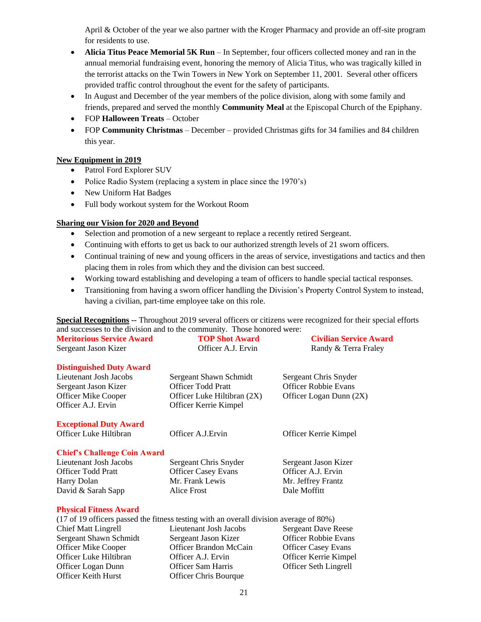April & October of the year we also partner with the Kroger Pharmacy and provide an off-site program for residents to use.

- **Alicia Titus Peace Memorial 5K Run** In September, four officers collected money and ran in the annual memorial fundraising event, honoring the memory of Alicia Titus, who was tragically killed in the terrorist attacks on the Twin Towers in New York on September 11, 2001. Several other officers provided traffic control throughout the event for the safety of participants.
- In August and December of the year members of the police division, along with some family and friends, prepared and served the monthly **Community Meal** at the Episcopal Church of the Epiphany.
- FOP **Halloween Treats** October
- FOP **Community Christmas** December provided Christmas gifts for 34 families and 84 children this year.

### **New Equipment in 2019**

- Patrol Ford Explorer SUV
- Police Radio System (replacing a system in place since the 1970's)
- New Uniform Hat Badges
- Full body workout system for the Workout Room

### **Sharing our Vision for 2020 and Beyond**

- Selection and promotion of a new sergeant to replace a recently retired Sergeant.
- Continuing with efforts to get us back to our authorized strength levels of 21 sworn officers.
- Continual training of new and young officers in the areas of service, investigations and tactics and then placing them in roles from which they and the division can best succeed.
- Working toward establishing and developing a team of officers to handle special tactical responses.
- Transitioning from having a sworn officer handling the Division's Property Control System to instead, having a civilian, part-time employee take on this role.

**Special Recognitions --** Throughout 2019 several officers or citizens were recognized for their special efforts and successes to the division and to the community. Those honored were:

| <b>Meritorious Service Award</b>    | <b>TOP Shot Award</b>       | <b>Civilian Service Award</b> |
|-------------------------------------|-----------------------------|-------------------------------|
| Sergeant Jason Kizer                | Officer A.J. Ervin          | Randy & Terra Fraley          |
| <b>Distinguished Duty Award</b>     |                             |                               |
| Lieutenant Josh Jacobs              | Sergeant Shawn Schmidt      | Sergeant Chris Snyder         |
| Sergeant Jason Kizer                | <b>Officer Todd Pratt</b>   | <b>Officer Robbie Evans</b>   |
| <b>Officer Mike Cooper</b>          | Officer Luke Hiltibran (2X) | Officer Logan Dunn (2X)       |
| Officer A.J. Ervin                  | Officer Kerrie Kimpel       |                               |
| <b>Exceptional Duty Award</b>       |                             |                               |
| Officer Luke Hiltibran              | Officer A.J. Ervin          | Officer Kerrie Kimpel         |
| <b>Chief's Challenge Coin Award</b> |                             |                               |
| Lieutenant Josh Jacobs              | Sergeant Chris Snyder       | Sergeant Jason Kizer          |
| <b>Officer Todd Pratt</b>           | <b>Officer Casey Evans</b>  | Officer A.J. Ervin            |
| Harry Dolan                         | Mr. Frank Lewis             | Mr. Jeffrey Frantz            |
| David & Sarah Sapp                  | Alice Frost                 | Dale Moffitt                  |
| <b>Physical Fitness Award</b>       |                             |                               |

### **Physical Fitness Award**

| (17 of 19 officers passed the fitness testing with an overall division average of 80%) |                               |                             |  |  |  |  |
|----------------------------------------------------------------------------------------|-------------------------------|-----------------------------|--|--|--|--|
| <b>Chief Matt Lingrell</b>                                                             | Lieutenant Josh Jacobs        | <b>Sergeant Dave Reese</b>  |  |  |  |  |
| Sergeant Shawn Schmidt                                                                 | Sergeant Jason Kizer          | <b>Officer Robbie Evans</b> |  |  |  |  |
| <b>Officer Mike Cooper</b>                                                             | <b>Officer Brandon McCain</b> | <b>Officer Casey Evans</b>  |  |  |  |  |
| Officer Luke Hiltibran                                                                 | Officer A.J. Ervin            | Officer Kerrie Kimpel       |  |  |  |  |
| Officer Logan Dunn                                                                     | <b>Officer Sam Harris</b>     | Officer Seth Lingrell       |  |  |  |  |
| <b>Officer Keith Hurst</b>                                                             | <b>Officer Chris Bourque</b>  |                             |  |  |  |  |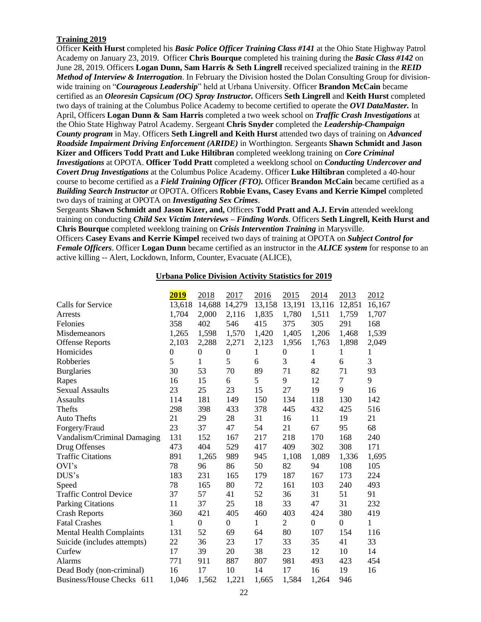## **Training 2019**

Officer **Keith Hurst** completed his *Basic Police Officer Training Class #141* at the Ohio State Highway Patrol Academy on January 23, 2019. Officer **Chris Bourque** completed his training during the *Basic Class #142* on June 28, 2019. Officers **Logan Dunn, Sam Harris & Seth Lingrell** received specialized training in the *REID Method of Interview & Interrogation*. In February the Division hosted the Dolan Consulting Group for divisionwide training on "*Courageous Leadership*" held at Urbana University. Officer **Brandon McCain** became certified as an *Oleoresin Capsicum (OC) Spray Instructor.* Officers **Seth Lingrell** and **Keith Hurst** completed two days of training at the Columbus Police Academy to become certified to operate the *OVI DataMaster.* In April, Officers **Logan Dunn & Sam Harris** completed a two week school on *Traffic Crash Investigations* at the Ohio State Highway Patrol Academy. Sergeant **Chris Snyder** completed the *Leadership-Champaign County program* in May. Officers **Seth Lingrell and Keith Hurst** attended two days of training on *Advanced Roadside Impairment Driving Enforcement (ARIDE)* in Worthington. Sergeants **Shawn Schmidt and Jason Kizer and Officers Todd Pratt and Luke Hiltibran** completed weeklong training on *Core Criminal Investigations* at OPOTA. **Officer Todd Pratt** completed a weeklong school on *Conducting Undercover and Covert Drug Investigations* at the Columbus Police Academy. Officer **Luke Hiltibran** completed a 40-hour course to become certified as a *Field Training Officer (FTO).* Officer **Brandon McCain** became certified as a *Building Search Instructor at* OPOTA. Officers **Robbie Evans, Casey Evans and Kerrie Kimpel** completed two days of training at OPOTA on *Investigating Sex Crimes*.

Sergeants **Shawn Schmidt and Jason Kizer, and,** Officers **Todd Pratt and A.J. Ervin** attended weeklong training on conducting *Child Sex Victim Interviews – Finding Words*. Officers **Seth Lingrell, Keith Hurst and Chris Bourque** completed weeklong training on *Crisis Intervention Training* in Marysville.

Officers **Casey Evans and Kerrie Kimpel** received two days of training at OPOTA on *Subject Control for Female Officers*. Officer **Logan Dunn** became certified as an instructor in the *ALICE system* for response to an active killing -- Alert, Lockdown, Inform, Counter, Evacuate (ALICE),

#### **Urbana Police Division Activity Statistics for 2019**

|                                 | 2019         | 2018             | 2017             | 2016   | 2015             | 2014             | 2013         | 2012   |
|---------------------------------|--------------|------------------|------------------|--------|------------------|------------------|--------------|--------|
| Calls for Service               | 13,618       | 14,688           | 14,279           | 13,158 | 13,191           | 13,116           | 12,851       | 16,167 |
| Arrests                         | 1,704        | 2,000            | 2,116            | 1,835  | 1,780            | 1,511            | 1,759        | 1,707  |
| Felonies                        | 358          | 402              | 546              | 415    | 375              | 305              | 291          | 168    |
| Misdemeanors                    | 1,265        | 1,598            | 1,570            | 1,420  | 1,405            | 1,206            | 1,468        | 1,539  |
| <b>Offense Reports</b>          | 2,103        | 2,288            | 2,271            | 2,123  | 1,956            | 1,763            | 1,898        | 2,049  |
| Homicides                       | $\mathbf{0}$ | $\mathbf{0}$     | $\boldsymbol{0}$ | 1      | $\boldsymbol{0}$ | 1                | 1            | 1      |
| Robberies                       | 5            | 1                | 5                | 6      | 3                | 4                | 6            | 3      |
| <b>Burglaries</b>               | 30           | 53               | 70               | 89     | 71               | 82               | 71           | 93     |
| Rapes                           | 16           | 15               | 6                | 5      | 9                | 12               | $\tau$       | 9      |
| <b>Sexual Assaults</b>          | 23           | 25               | 23               | 15     | 27               | 19               | 9            | 16     |
| <b>Assaults</b>                 | 114          | 181              | 149              | 150    | 134              | 118              | 130          | 142    |
| Thefts                          | 298          | 398              | 433              | 378    | 445              | 432              | 425          | 516    |
| <b>Auto Thefts</b>              | 21           | 29               | 28               | 31     | 16               | 11               | 19           | 21     |
| Forgery/Fraud                   | 23           | 37               | 47               | 54     | 21               | 67               | 95           | 68     |
| Vandalism/Criminal Damaging     | 131          | 152              | 167              | 217    | 218              | 170              | 168          | 240    |
| Drug Offenses                   | 473          | 404              | 529              | 417    | 409              | 302              | 308          | 171    |
| <b>Traffic Citations</b>        | 891          | 1,265            | 989              | 945    | 1,108            | 1,089            | 1,336        | 1,695  |
| OVI's                           | 78           | 96               | 86               | 50     | 82               | 94               | 108          | 105    |
| DUS's                           | 183          | 231              | 165              | 179    | 187              | 167              | 173          | 224    |
| Speed                           | 78           | 165              | 80               | 72     | 161              | 103              | 240          | 493    |
| <b>Traffic Control Device</b>   | 37           | 57               | 41               | 52     | 36               | 31               | 51           | 91     |
| <b>Parking Citations</b>        | 11           | 37               | 25               | 18     | 33               | 47               | 31           | 232    |
| <b>Crash Reports</b>            | 360          | 421              | 405              | 460    | 403              | 424              | 380          | 419    |
| <b>Fatal Crashes</b>            | 1            | $\boldsymbol{0}$ | $\boldsymbol{0}$ | 1      | $\overline{2}$   | $\boldsymbol{0}$ | $\mathbf{0}$ | 1      |
| <b>Mental Health Complaints</b> | 131          | 52               | 69               | 64     | 80               | 107              | 154          | 116    |
| Suicide (includes attempts)     | 22           | 36               | 23               | 17     | 33               | 35               | 41           | 33     |
| Curfew                          | 17           | 39               | 20               | 38     | 23               | 12               | 10           | 14     |
| Alarms                          | 771          | 911              | 887              | 807    | 981              | 493              | 423          | 454    |
| Dead Body (non-criminal)        | 16           | 17               | 10               | 14     | 17               | 16               | 19           | 16     |
| Business/House Checks 611       | 1,046        | 1,562            | 1,221            | 1,665  | 1,584            | 1,264            | 946          |        |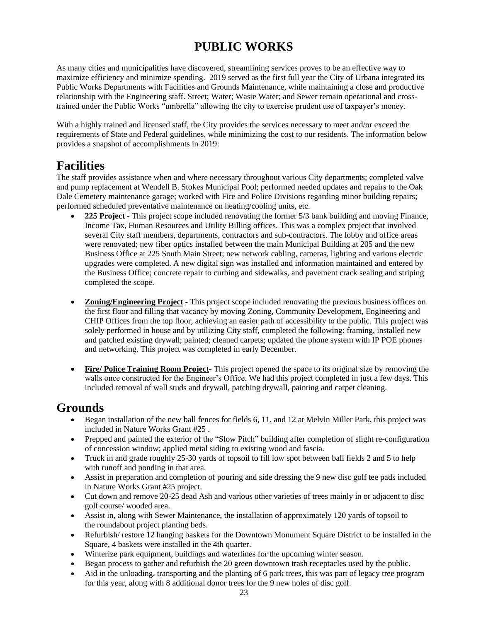# **PUBLIC WORKS**

As many cities and municipalities have discovered, streamlining services proves to be an effective way to maximize efficiency and minimize spending. 2019 served as the first full year the City of Urbana integrated its Public Works Departments with Facilities and Grounds Maintenance, while maintaining a close and productive relationship with the Engineering staff. Street; Water; Waste Water; and Sewer remain operational and crosstrained under the Public Works "umbrella" allowing the city to exercise prudent use of taxpayer's money.

With a highly trained and licensed staff, the City provides the services necessary to meet and/or exceed the requirements of State and Federal guidelines, while minimizing the cost to our residents. The information below provides a snapshot of accomplishments in 2019:

# **Facilities**

The staff provides assistance when and where necessary throughout various City departments; completed valve and pump replacement at Wendell B. Stokes Municipal Pool; performed needed updates and repairs to the Oak Dale Cemetery maintenance garage; worked with Fire and Police Divisions regarding minor building repairs; performed scheduled preventative maintenance on heating/cooling units, etc.

- **225 Project** This project scope included renovating the former 5/3 bank building and moving Finance, Income Tax, Human Resources and Utility Billing offices. This was a complex project that involved several City staff members, departments, contractors and sub-contractors. The lobby and office areas were renovated; new fiber optics installed between the main Municipal Building at 205 and the new Business Office at 225 South Main Street; new network cabling, cameras, lighting and various electric upgrades were completed. A new digital sign was installed and information maintained and entered by the Business Office; concrete repair to curbing and sidewalks, and pavement crack sealing and striping completed the scope.
- **Zoning/Engineering Project** This project scope included renovating the previous business offices on the first floor and filling that vacancy by moving Zoning, Community Development, Engineering and CHIP Offices from the top floor, achieving an easier path of accessibility to the public. This project was solely performed in house and by utilizing City staff, completed the following: framing, installed new and patched existing drywall; painted; cleaned carpets; updated the phone system with IP POE phones and networking. This project was completed in early December.
- **Fire/ Police Training Room Project** This project opened the space to its original size by removing the walls once constructed for the Engineer's Office. We had this project completed in just a few days. This included removal of wall studs and drywall, patching drywall, painting and carpet cleaning.

# **Grounds**

- Began installation of the new ball fences for fields 6, 11, and 12 at Melvin Miller Park, this project was included in Nature Works Grant #25 .
- Prepped and painted the exterior of the "Slow Pitch" building after completion of slight re-configuration of concession window; applied metal siding to existing wood and fascia.
- Truck in and grade roughly 25-30 yards of topsoil to fill low spot between ball fields 2 and 5 to help with runoff and ponding in that area.
- Assist in preparation and completion of pouring and side dressing the 9 new disc golf tee pads included in Nature Works Grant #25 project.
- Cut down and remove 20-25 dead Ash and various other varieties of trees mainly in or adjacent to disc golf course/ wooded area.
- Assist in, along with Sewer Maintenance, the installation of approximately 120 yards of topsoil to the roundabout project planting beds.
- Refurbish/ restore 12 hanging baskets for the Downtown Monument Square District to be installed in the Square, 4 baskets were installed in the 4th quarter.
- Winterize park equipment, buildings and waterlines for the upcoming winter season.
- Began process to gather and refurbish the 20 green downtown trash receptacles used by the public.
- Aid in the unloading, transporting and the planting of 6 park trees, this was part of legacy tree program for this year, along with 8 additional donor trees for the 9 new holes of disc golf.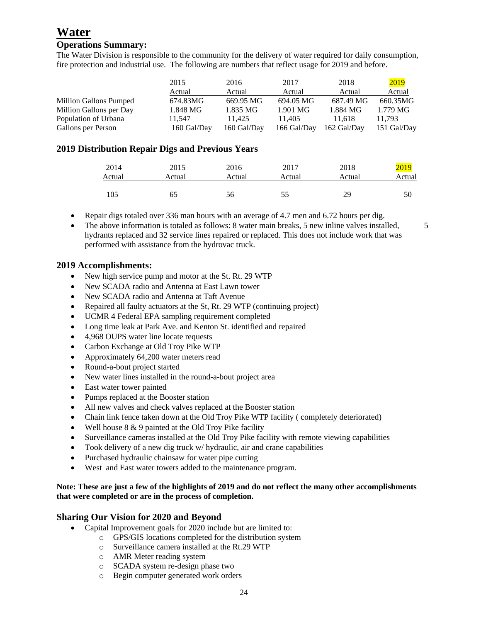# **Water**

# **Operations Summary:**

The Water Division is responsible to the community for the delivery of water required for daily consumption, fire protection and industrial use. The following are numbers that reflect usage for 2019 and before.

|                         | 2015        | 2016        | 2017        | 2018        | 2019        |
|-------------------------|-------------|-------------|-------------|-------------|-------------|
|                         | Actual      | Actual      | Actual      | Actual      | Actual      |
| Million Gallons Pumped  | 674.83MG    | 669.95 MG   | 694.05 MG   | 687.49 MG   | 660.35MG    |
| Million Gallons per Day | 1.848 MG    | 1.835 MG    | 1.901 MG    | 1.884 MG    | $1.779$ MG  |
| Population of Urbana    | 11.547      | 11.425      | 11.405      | 11.618      | 11.793      |
| Gallons per Person      | 160 Gal/Day | 160 Gal/Dav | 166 Gal/Day | 162 Gal/Day | 151 Gal/Day |

# **2019 Distribution Repair Digs and Previous Years**

| 2014   | 2015   | 2016   | 2017   | 2018   | <mark>2019</mark> |
|--------|--------|--------|--------|--------|-------------------|
| Actual | Actual | Actual | Actual | Actual | Actual            |
| 105    | 65     | 56     | 55     | 29     | 50                |

- Repair digs totaled over 336 man hours with an average of 4.7 men and 6.72 hours per dig.
- The above information is totaled as follows: 8 water main breaks, 5 new inline valves installed,  $\sim$  5 hydrants replaced and 32 service lines repaired or replaced. This does not include work that was performed with assistance from the hydrovac truck.

# **2019 Accomplishments:**

- New high service pump and motor at the St. Rt. 29 WTP
- New SCADA radio and Antenna at East Lawn tower
- New SCADA radio and Antenna at Taft Avenue
- Repaired all faulty actuators at the St, Rt. 29 WTP (continuing project)
- UCMR 4 Federal EPA sampling requirement completed
- Long time leak at Park Ave. and Kenton St. identified and repaired
- 4,968 OUPS water line locate requests
- Carbon Exchange at Old Troy Pike WTP
- Approximately 64,200 water meters read
- Round-a-bout project started
- New water lines installed in the round-a-bout project area
- East water tower painted
- Pumps replaced at the Booster station
- All new valves and check valves replaced at the Booster station
- Chain link fence taken down at the Old Troy Pike WTP facility (completely deteriorated)
- Well house  $8 \& 9$  painted at the Old Troy Pike facility
- Surveillance cameras installed at the Old Troy Pike facility with remote viewing capabilities
- Took delivery of a new dig truck w/ hydraulic, air and crane capabilities
- Purchased hydraulic chainsaw for water pipe cutting
- West and East water towers added to the maintenance program.

### **Note: These are just a few of the highlights of 2019 and do not reflect the many other accomplishments that were completed or are in the process of completion.**

# **Sharing Our Vision for 2020 and Beyond**

- Capital Improvement goals for 2020 include but are limited to:
	- o GPS/GIS locations completed for the distribution system
	- o Surveillance camera installed at the Rt.29 WTP
	- o AMR Meter reading system
	- o SCADA system re-design phase two
	- o Begin computer generated work orders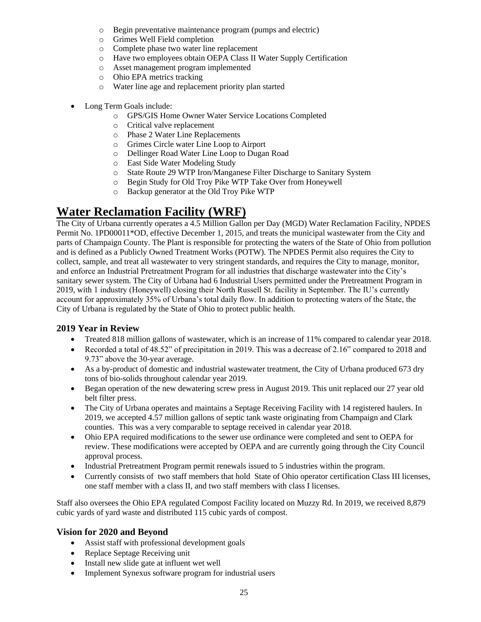- o Begin preventative maintenance program (pumps and electric)
- o Grimes Well Field completion
- o Complete phase two water line replacement
- o Have two employees obtain OEPA Class II Water Supply Certification
- o Asset management program implemented
- o Ohio EPA metrics tracking
- o Water line age and replacement priority plan started
- Long Term Goals include:
	- o GPS/GIS Home Owner Water Service Locations Completed
	- o Critical valve replacement
	- o Phase 2 Water Line Replacements
	- o Grimes Circle water Line Loop to Airport
	- o Dellinger Road Water Line Loop to Dugan Road
	- o East Side Water Modeling Study
	- o State Route 29 WTP Iron/Manganese Filter Discharge to Sanitary System
	- o Begin Study for Old Troy Pike WTP Take Over from Honeywell
	- o Backup generator at the Old Troy Pike WTP

# **Water Reclamation Facility (WRF)**

The City of Urbana currently operates a 4.5 Million Gallon per Day (MGD) Water Reclamation Facility, NPDES Permit No. 1PD00011\*OD, effective December 1, 2015, and treats the municipal wastewater from the City and parts of Champaign County. The Plant is responsible for protecting the waters of the State of Ohio from pollution and is defined as a Publicly Owned Treatment Works (POTW). The NPDES Permit also requires the City to collect, sample, and treat all wastewater to very stringent standards, and requires the City to manage, monitor, and enforce an Industrial Pretreatment Program for all industries that discharge wastewater into the City's sanitary sewer system. The City of Urbana had 6 Industrial Users permitted under the Pretreatment Program in 2019, with 1 industry (Honeywell) closing their North Russell St. facility in September. The IU's currently account for approximately 35% of Urbana's total daily flow. In addition to protecting waters of the State, the City of Urbana is regulated by the State of Ohio to protect public health.

# **2019 Year in Review**

- Treated 818 million gallons of wastewater, which is an increase of 11% compared to calendar year 2018.
- Recorded a total of 48.52" of precipitation in 2019. This was a decrease of 2.16" compared to 2018 and 9.73" above the 30-year average.
- As a by-product of domestic and industrial wastewater treatment, the City of Urbana produced 673 dry tons of bio-solids throughout calendar year 2019.
- Began operation of the new dewatering screw press in August 2019. This unit replaced our 27 year old belt filter press.
- The City of Urbana operates and maintains a Septage Receiving Facility with 14 registered haulers. In 2019, we accepted 4.57 million gallons of septic tank waste originating from Champaign and Clark counties. This was a very comparable to septage received in calendar year 2018.
- Ohio EPA required modifications to the sewer use ordinance were completed and sent to OEPA for review. These modifications were accepted by OEPA and are currently going through the City Council approval process.
- Industrial Pretreatment Program permit renewals issued to 5 industries within the program.
- Currently consists of two staff members that hold State of Ohio operator certification Class III licenses, one staff member with a class II, and two staff members with class I licenses.

Staff also oversees the Ohio EPA regulated Compost Facility located on Muzzy Rd. In 2019, we received 8,879 cubic yards of yard waste and distributed 115 cubic yards of compost.

# **Vision for 2020 and Beyond**

- Assist staff with professional development goals
- Replace Septage Receiving unit
- Install new slide gate at influent wet well
- Implement Synexus software program for industrial users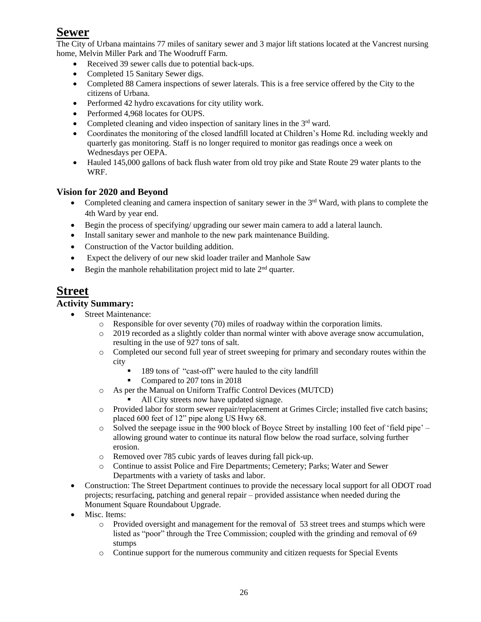# **Sewer**

The City of Urbana maintains 77 miles of sanitary sewer and 3 major lift stations located at the Vancrest nursing home, Melvin Miller Park and The Woodruff Farm.

- Received 39 sewer calls due to potential back-ups.
- Completed 15 Sanitary Sewer digs.
- Completed 88 Camera inspections of sewer laterals. This is a free service offered by the City to the citizens of Urbana.
- Performed 42 hydro excavations for city utility work.
- Performed 4,968 locates for OUPS.
- Completed cleaning and video inspection of sanitary lines in the  $3<sup>rd</sup>$  ward.
- Coordinates the monitoring of the closed landfill located at Children's Home Rd. including weekly and quarterly gas monitoring. Staff is no longer required to monitor gas readings once a week on Wednesdays per OEPA.
- Hauled 145,000 gallons of back flush water from old troy pike and State Route 29 water plants to the WRF.

# **Vision for 2020 and Beyond**

- Completed cleaning and camera inspection of sanitary sewer in the  $3<sup>rd</sup>$  Ward, with plans to complete the 4th Ward by year end.
- Begin the process of specifying/ upgrading our sewer main camera to add a lateral launch.
- Install sanitary sewer and manhole to the new park maintenance Building.
- Construction of the Vactor building addition.
- Expect the delivery of our new skid loader trailer and Manhole Saw
- Begin the manhole rehabilitation project mid to late  $2<sup>nd</sup>$  quarter.

# **Street**

# **Activity Summary:**

- Street Maintenance:
	- o Responsible for over seventy (70) miles of roadway within the corporation limits.
	- o 2019 recorded as a slightly colder than normal winter with above average snow accumulation, resulting in the use of 927 tons of salt.
	- o Completed our second full year of street sweeping for primary and secondary routes within the city
		- 189 tons of "cast-off" were hauled to the city landfill
		- Compared to 207 tons in 2018
	- o As per the Manual on Uniform Traffic Control Devices (MUTCD)
		- All City streets now have updated signage.
	- o Provided labor for storm sewer repair/replacement at Grimes Circle; installed five catch basins; placed 600 feet of 12" pipe along US Hwy 68.
	- o Solved the seepage issue in the 900 block of Boyce Street by installing 100 feet of 'field pipe' allowing ground water to continue its natural flow below the road surface, solving further erosion.
	- o Removed over 785 cubic yards of leaves during fall pick-up.
	- o Continue to assist Police and Fire Departments; Cemetery; Parks; Water and Sewer Departments with a variety of tasks and labor.
- Construction: The Street Department continues to provide the necessary local support for all ODOT road projects; resurfacing, patching and general repair – provided assistance when needed during the Monument Square Roundabout Upgrade.
- Misc. Items:
	- o Provided oversight and management for the removal of 53 street trees and stumps which were listed as "poor" through the Tree Commission; coupled with the grinding and removal of 69 stumps
	- o Continue support for the numerous community and citizen requests for Special Events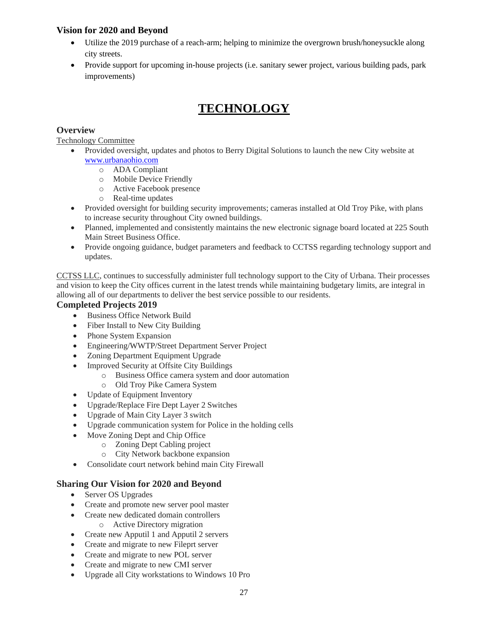# **Vision for 2020 and Beyond**

- Utilize the 2019 purchase of a reach-arm; helping to minimize the overgrown brush/honeysuckle along city streets.
- Provide support for upcoming in-house projects (i.e. sanitary sewer project, various building pads, park improvements)

# **TECHNOLOGY**

# **Overview**

Technology Committee

- Provided oversight, updates and photos to Berry Digital Solutions to launch the new City website at [www.urbanaohio.com](http://www.urbanaohio.com/)
	- o ADA Compliant
	- o Mobile Device Friendly
	- o Active Facebook presence
	- o Real-time updates
- Provided oversight for building security improvements; cameras installed at Old Troy Pike, with plans to increase security throughout City owned buildings.
- Planned, implemented and consistently maintains the new electronic signage board located at 225 South Main Street Business Office.
- Provide ongoing guidance, budget parameters and feedback to CCTSS regarding technology support and updates.

CCTSS LLC, continues to successfully administer full technology support to the City of Urbana. Their processes and vision to keep the City offices current in the latest trends while maintaining budgetary limits, are integral in allowing all of our departments to deliver the best service possible to our residents.

# **Completed Projects 2019**

- Business Office Network Build
- Fiber Install to New City Building
- Phone System Expansion
- Engineering/WWTP/Street Department Server Project
- Zoning Department Equipment Upgrade
- Improved Security at Offsite City Buildings
	- o Business Office camera system and door automation
	- o Old Troy Pike Camera System
- Update of Equipment Inventory
- Upgrade/Replace Fire Dept Layer 2 Switches
- Upgrade of Main City Layer 3 switch
- Upgrade communication system for Police in the holding cells
- Move Zoning Dept and Chip Office
	- o Zoning Dept Cabling project
	- o City Network backbone expansion
- Consolidate court network behind main City Firewall

# **Sharing Our Vision for 2020 and Beyond**

- Server OS Upgrades
- Create and promote new server pool master
- Create new dedicated domain controllers
	- o Active Directory migration
- Create new Apputil 1 and Apputil 2 servers
- Create and migrate to new Fileprt server
- Create and migrate to new POL server
- Create and migrate to new CMI server
- Upgrade all City workstations to Windows 10 Pro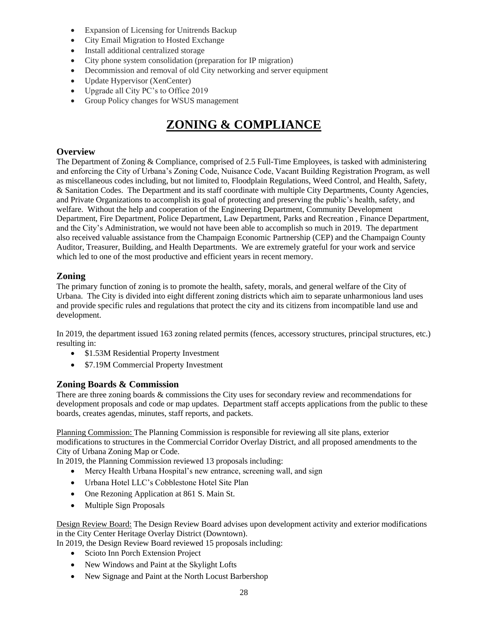- Expansion of Licensing for Unitrends Backup
- City Email Migration to Hosted Exchange
- Install additional centralized storage
- City phone system consolidation (preparation for IP migration)
- Decommission and removal of old City networking and server equipment
- Update Hypervisor (XenCenter)
- Upgrade all City PC's to Office 2019
- Group Policy changes for WSUS management

# **ZONING & COMPLIANCE**

## **Overview**

The Department of Zoning & Compliance, comprised of 2.5 Full-Time Employees, is tasked with administering and enforcing the City of Urbana's Zoning Code, Nuisance Code, Vacant Building Registration Program, as well as miscellaneous codes including, but not limited to, Floodplain Regulations, Weed Control, and Health, Safety, & Sanitation Codes. The Department and its staff coordinate with multiple City Departments, County Agencies, and Private Organizations to accomplish its goal of protecting and preserving the public's health, safety, and welfare. Without the help and cooperation of the Engineering Department, Community Development Department, Fire Department, Police Department, Law Department, Parks and Recreation , Finance Department, and the City's Administration, we would not have been able to accomplish so much in 2019. The department also received valuable assistance from the Champaign Economic Partnership (CEP) and the Champaign County Auditor, Treasurer, Building, and Health Departments. We are extremely grateful for your work and service which led to one of the most productive and efficient years in recent memory.

### **Zoning**

The primary function of zoning is to promote the health, safety, morals, and general welfare of the City of Urbana. The City is divided into eight different zoning districts which aim to separate unharmonious land uses and provide specific rules and regulations that protect the city and its citizens from incompatible land use and development.

In 2019, the department issued 163 zoning related permits (fences, accessory structures, principal structures, etc.) resulting in:

- \$1.53M Residential Property Investment
- \$7.19M Commercial Property Investment

# **Zoning Boards & Commission**

There are three zoning boards & commissions the City uses for secondary review and recommendations for development proposals and code or map updates. Department staff accepts applications from the public to these boards, creates agendas, minutes, staff reports, and packets.

Planning Commission: The Planning Commission is responsible for reviewing all site plans, exterior modifications to structures in the Commercial Corridor Overlay District, and all proposed amendments to the City of Urbana Zoning Map or Code.

In 2019, the Planning Commission reviewed 13 proposals including:

- Mercy Health Urbana Hospital's new entrance, screening wall, and sign
- Urbana Hotel LLC's Cobblestone Hotel Site Plan
- One Rezoning Application at 861 S. Main St.
- Multiple Sign Proposals

Design Review Board: The Design Review Board advises upon development activity and exterior modifications in the City Center Heritage Overlay District (Downtown).

In 2019, the Design Review Board reviewed 15 proposals including:

- Scioto Inn Porch Extension Project
- New Windows and Paint at the Skylight Lofts
- New Signage and Paint at the North Locust Barbershop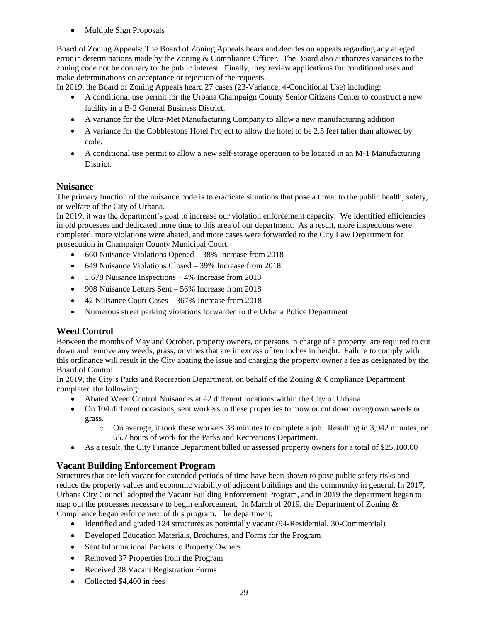• Multiple Sign Proposals

Board of Zoning Appeals: The Board of Zoning Appeals hears and decides on appeals regarding any alleged error in determinations made by the Zoning & Compliance Officer. The Board also authorizes variances to the zoning code not be contrary to the public interest. Finally, they review applications for conditional uses and make determinations on acceptance or rejection of the requests.

In 2019, the Board of Zoning Appeals heard 27 cases (23-Variance, 4-Conditional Use) including:

- A conditional use permit for the Urbana Champaign County Senior Citizens Center to construct a new facility in a B-2 General Business District.
- A variance for the Ultra-Met Manufacturing Company to allow a new manufacturing addition
- A variance for the Cobblestone Hotel Project to allow the hotel to be 2.5 feet taller than allowed by code.
- A conditional use permit to allow a new self-storage operation to be located in an M-1 Manufacturing District.

# **Nuisance**

The primary function of the nuisance code is to eradicate situations that pose a threat to the public health, safety, or welfare of the City of Urbana.

In 2019, it was the department's goal to increase our violation enforcement capacity. We identified efficiencies in old processes and dedicated more time to this area of our department. As a result, more inspections were completed, more violations were abated, and more cases were forwarded to the City Law Department for prosecution in Champaign County Municipal Court.

- 660 Nuisance Violations Opened 38% Increase from 2018
- 649 Nuisance Violations Closed 39% Increase from 2018
- 1,678 Nuisance Inspections 4% Increase from 2018
- 908 Nuisance Letters Sent 56% Increase from 2018
- 42 Nuisance Court Cases 367% Increase from 2018
- Numerous street parking violations forwarded to the Urbana Police Department

# **Weed Control**

Between the months of May and October, property owners, or persons in charge of a property, are required to cut down and remove any weeds, grass, or vines that are in excess of ten inches in height. Failure to comply with this ordinance will result in the City abating the issue and charging the property owner a fee as designated by the Board of Control.

In 2019, the City's Parks and Recreation Department, on behalf of the Zoning & Compliance Department completed the following:

- Abated Weed Control Nuisances at 42 different locations within the City of Urbana
- On 104 different occasions, sent workers to these properties to mow or cut down overgrown weeds or grass.
	- o On average, it took these workers 38 minutes to complete a job. Resulting in 3,942 minutes, or 65.7 hours of work for the Parks and Recreations Department.
- As a result, the City Finance Department billed or assessed property owners for a total of \$25,100.00

### **Vacant Building Enforcement Program**

Structures that are left vacant for extended periods of time have been shown to pose public safety risks and reduce the property values and economic viability of adjacent buildings and the community in general. In 2017, Urbana City Council adopted the Vacant Building Enforcement Program, and in 2019 the department began to map out the processes necessary to begin enforcement. In March of 2019, the Department of Zoning & Compliance began enforcement of this program. The department:

- Identified and graded 124 structures as potentially vacant (94-Residential, 30-Commercial)
- Developed Education Materials, Brochures, and Forms for the Program
- Sent Informational Packets to Property Owners
- Removed 37 Properties from the Program
- Received 38 Vacant Registration Forms
- Collected \$4,400 in fees